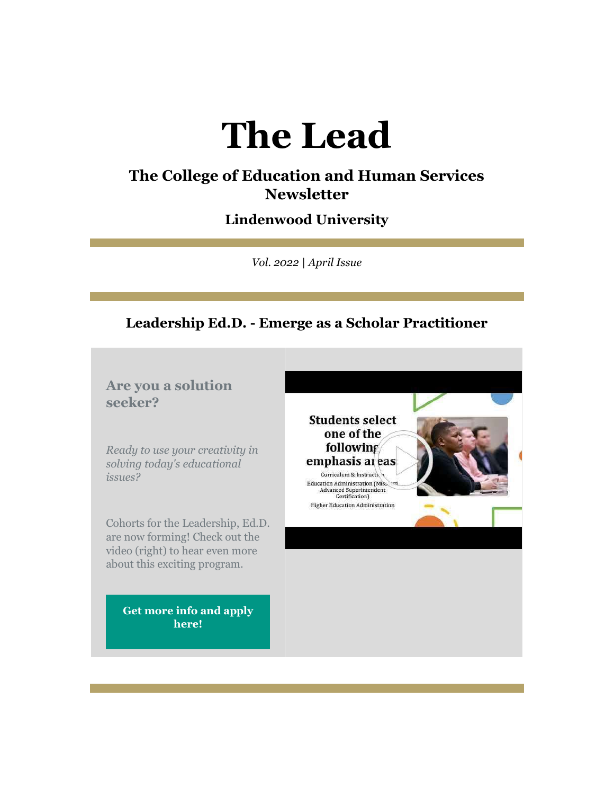# **The Lead**

## **The College of Education and Human Services Newsletter**

## **Lindenwood University**

*Vol. 2022 | April Issue*

## **Leadership Ed.D. - Emerge as a Scholar Practitioner**

## **Are you a solution seeker?**

*Ready to use your creativity in solving today's educational issues?*

Cohorts for the Leadership, Ed.D. are now forming! Check out the video (right) to hear even more about this exciting program.

> **[Get more info and apply](https://nam04.safelinks.protection.outlook.com/?url=https%3A%2F%2Fr20.rs6.net%2Ftn.jsp%3Ff%3D001nmgsxHl_9cKfmMKPxKnJkRpIAU5akRah6Q2sXzOobZNJ3KxweKHhpiSnd9q18MI87Hr9Hb-WyK_iDIghV1TrtCodceA9aKuHlJw0-04htZl1dRozumiF6C8dkLEITtcMMK3YP9GjAEq0s3W-GDIksgiCAEOkl2O-hF0OyBGsqHO46TbejHTcE-xACV2pn3kmbEQqQbQ1_2c7UxHoL4BIjz58-2Sk2Dfkf8LZDP1j8eLP3H1CH9MnK4f1U1D2HYI8qJdDzmU3UoocKfE6UbPeUQ%3D%3D%26c%3D6H_LL2UQnuSoAuNxe3OyfJzeA8bD1EDQAdyyxRt0eAko71iLousH8A%3D%3D%26ch%3DQcSa5L0ZoOLObwfP2xcmNvgdWcp8LkO3e81FGGTLf0kElWX8DabhQg%3D%3D&data=04%7C01%7Cphuffman%40lindenwood.edu%7C09c3b0849bb641a6b83e08da13f90749%7C3d72f08e540a4c68905d9e69c4d9c61e%7C1%7C0%7C637844257556976928%7CUnknown%7CTWFpbGZsb3d8eyJWIjoiMC4wLjAwMDAiLCJQIjoiV2luMzIiLCJBTiI6Ik1haWwiLCJXVCI6Mn0%3D%7C3000&sdata=WHIx%2FexNqPWPQWcen8pHDRX3rnedcI195k%2BdKcSaCxQ%3D&reserved=0)  [here!](https://nam04.safelinks.protection.outlook.com/?url=https%3A%2F%2Fr20.rs6.net%2Ftn.jsp%3Ff%3D001nmgsxHl_9cKfmMKPxKnJkRpIAU5akRah6Q2sXzOobZNJ3KxweKHhpiSnd9q18MI87Hr9Hb-WyK_iDIghV1TrtCodceA9aKuHlJw0-04htZl1dRozumiF6C8dkLEITtcMMK3YP9GjAEq0s3W-GDIksgiCAEOkl2O-hF0OyBGsqHO46TbejHTcE-xACV2pn3kmbEQqQbQ1_2c7UxHoL4BIjz58-2Sk2Dfkf8LZDP1j8eLP3H1CH9MnK4f1U1D2HYI8qJdDzmU3UoocKfE6UbPeUQ%3D%3D%26c%3D6H_LL2UQnuSoAuNxe3OyfJzeA8bD1EDQAdyyxRt0eAko71iLousH8A%3D%3D%26ch%3DQcSa5L0ZoOLObwfP2xcmNvgdWcp8LkO3e81FGGTLf0kElWX8DabhQg%3D%3D&data=04%7C01%7Cphuffman%40lindenwood.edu%7C09c3b0849bb641a6b83e08da13f90749%7C3d72f08e540a4c68905d9e69c4d9c61e%7C1%7C0%7C637844257556976928%7CUnknown%7CTWFpbGZsb3d8eyJWIjoiMC4wLjAwMDAiLCJQIjoiV2luMzIiLCJBTiI6Ik1haWwiLCJXVCI6Mn0%3D%7C3000&sdata=WHIx%2FexNqPWPQWcen8pHDRX3rnedcI195k%2BdKcSaCxQ%3D&reserved=0)**

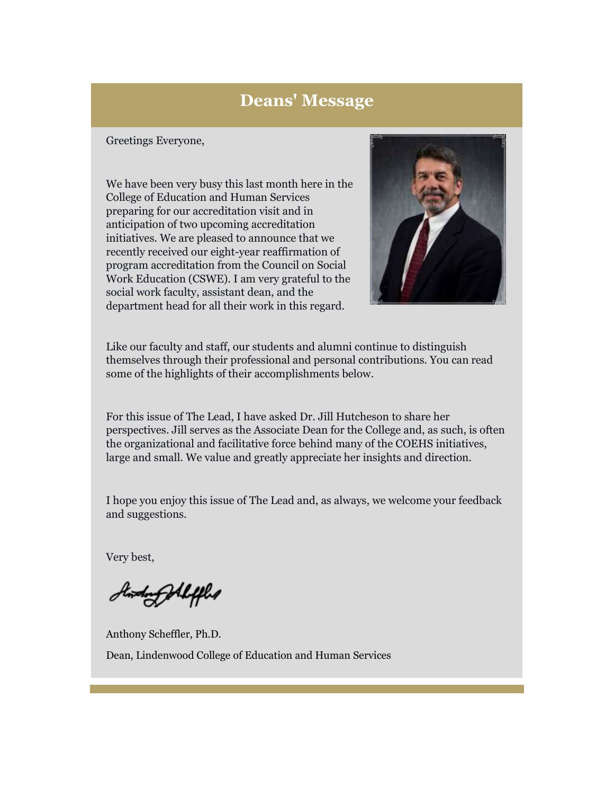## **Deans' Message**

#### Greetings Everyone,

We have been very busy this last month here in the College of Education and Human Services preparing for our accreditation visit and in anticipation of two upcoming accreditation initiatives. We are pleased to announce that we recently received our eight-year reaffirmation of program accreditation from the Council on Social Work Education (CSWE). I am very grateful to the social work faculty, assistant dean, and the department head for all their work in this regard.



Like our faculty and staff, our students and alumni continue to distinguish themselves through their professional and personal contributions. You can read some of the highlights of their accomplishments below.

For this issue of The Lead, I have asked Dr. Jill Hutcheson to share her perspectives. Jill serves as the Associate Dean for the College and, as such, is often the organizational and facilitative force behind many of the COEHS initiatives, large and small. We value and greatly appreciate her insights and direction.

I hope you enjoy this issue of The Lead and, as always, we welcome your feedback and suggestions.

Very best,

Andrey Aleffled

Anthony Scheffler, Ph.D. Dean, Lindenwood College of Education and Human Services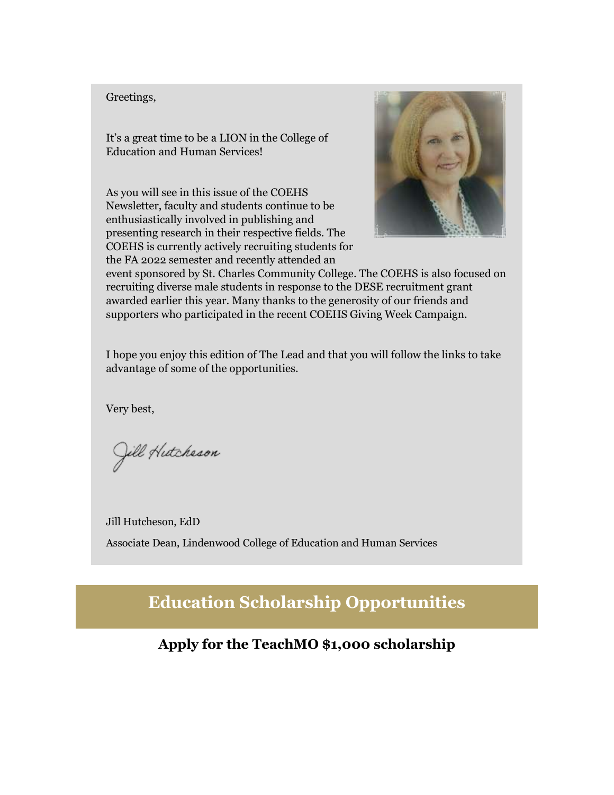#### Greetings,

It's a great time to be a LION in the College of Education and Human Services!

As you will see in this issue of the COEHS Newsletter, faculty and students continue to be enthusiastically involved in publishing and presenting research in their respective fields. The COEHS is currently actively recruiting students for the FA 2022 semester and recently attended an



event sponsored by St. Charles Community College. The COEHS is also focused on recruiting diverse male students in response to the DESE recruitment grant awarded earlier this year. Many thanks to the generosity of our friends and supporters who participated in the recent COEHS Giving Week Campaign.

I hope you enjoy this edition of The Lead and that you will follow the links to take advantage of some of the opportunities.

Very best,

Jill Hutcheson

Jill Hutcheson, EdD Associate Dean, Lindenwood College of Education and Human Services

**Education Scholarship Opportunities**

**Apply for the TeachMO \$1,000 scholarship**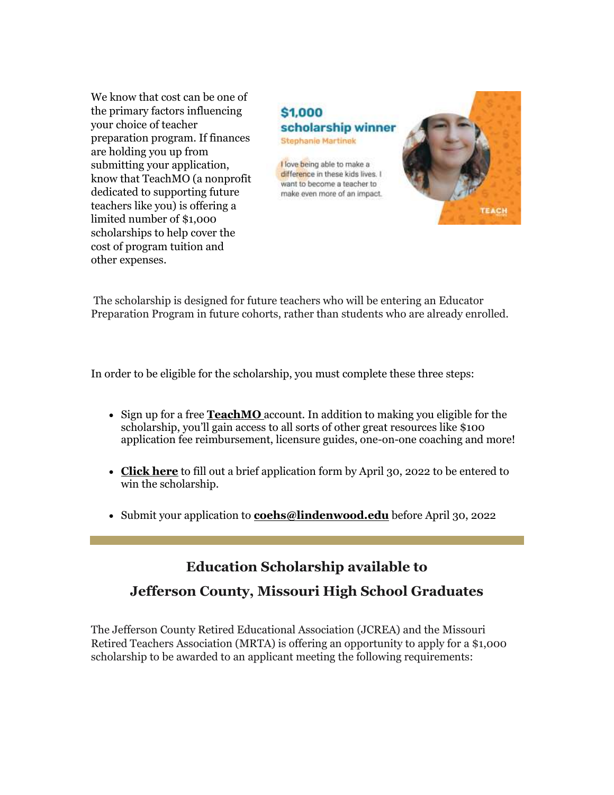We know that cost can be one of the primary factors influencing your choice of teacher preparation program. If finances are holding you up from submitting your application, know that TeachMO (a nonprofit dedicated to supporting future teachers like you) is offering a limited number of \$1,000 scholarships to help cover the cost of program tuition and other expenses.

## \$1,000 scholarship winner **Stephanie Martinek** I love being able to make a difference in these kids lives. I want to become a teacher to make even more of an impact. **EACH**

The scholarship is designed for future teachers who will be entering an Educator Preparation Program in future cohorts, rather than students who are already enrolled.

In order to be eligible for the scholarship, you must complete these three steps:

- Sign up for a free **[TeachMO](https://nam04.safelinks.protection.outlook.com/?url=https%3A%2F%2Fr20.rs6.net%2Ftn.jsp%3Ff%3D001nmgsxHl_9cKfmMKPxKnJkRpIAU5akRah6Q2sXzOobZNJ3KxweKHhpnRxW66fyHwgG6cXx2TqpS7vtRyAmpne6YhFRo3uUPXlXuw5cchLl0BtSnAO2up1y7j9d5xcziM-ej23MegqU_Ey5uMYiyTfjQ%3D%3D%26c%3D6H_LL2UQnuSoAuNxe3OyfJzeA8bD1EDQAdyyxRt0eAko71iLousH8A%3D%3D%26ch%3DQcSa5L0ZoOLObwfP2xcmNvgdWcp8LkO3e81FGGTLf0kElWX8DabhQg%3D%3D&data=04%7C01%7Cphuffman%40lindenwood.edu%7C09c3b0849bb641a6b83e08da13f90749%7C3d72f08e540a4c68905d9e69c4d9c61e%7C1%7C0%7C637844257556976928%7CUnknown%7CTWFpbGZsb3d8eyJWIjoiMC4wLjAwMDAiLCJQIjoiV2luMzIiLCJBTiI6Ik1haWwiLCJXVCI6Mn0%3D%7C3000&sdata=QY7AaX3G23%2FlzjvJfyylyuNB%2BOFtX7ZFH%2FIcDmPJYi8%3D&reserved=0)** account. In addition to making you eligible for the scholarship, you'll gain access to all sorts of other great resources like \$100 application fee reimbursement, licensure guides, one-on-one coaching and more!
- **[Click here](https://nam04.safelinks.protection.outlook.com/?url=https%3A%2F%2Fr20.rs6.net%2Ftn.jsp%3Ff%3D001nmgsxHl_9cKfmMKPxKnJkRpIAU5akRah6Q2sXzOobZNJ3KxweKHhpnRxW66fyHwgT2wc7VhDiEyMhRnQO2n-GdKS19-N2ytV3gLbjX-rF0RgxMjz1RE1hauzhmXp9PiNe2m7dY2H2e5S1hrSwjWZN_4BI2thaDNuyFlHO0To5qqMuXYWSMULET-2ZlJ-ThZuTctgZooeaIfNtuZXn94WFCzXlIkpQmfQ7UEnrDyf-it87qXBjHhbnF62UxU15f__bP1inNbYGPawzHdjs1oQ2EV5Q-e_PObq0RNYtd4T6DTaMDrF1wMyHsqyVOoJwLBZlGgAwij-TkY%3D%26c%3D6H_LL2UQnuSoAuNxe3OyfJzeA8bD1EDQAdyyxRt0eAko71iLousH8A%3D%3D%26ch%3DQcSa5L0ZoOLObwfP2xcmNvgdWcp8LkO3e81FGGTLf0kElWX8DabhQg%3D%3D&data=04%7C01%7Cphuffman%40lindenwood.edu%7C09c3b0849bb641a6b83e08da13f90749%7C3d72f08e540a4c68905d9e69c4d9c61e%7C1%7C0%7C637844257556976928%7CUnknown%7CTWFpbGZsb3d8eyJWIjoiMC4wLjAwMDAiLCJQIjoiV2luMzIiLCJBTiI6Ik1haWwiLCJXVCI6Mn0%3D%7C3000&sdata=rKVXjX%2BvBB163e82wU%2BN6rWIbY%2BSiqK1P0KiUWvva%2FA%3D&reserved=0)** to fill out a brief application form by April 30, 2022 to be entered to win the scholarship.
- Submit your application to **[coehs@lindenwood.edu](mailto:coehs@lindenwood.edu)** before April 30, 2022

## **Education Scholarship available to**

## **Jefferson County, Missouri High School Graduates**

The Jefferson County Retired Educational Association (JCREA) and the Missouri Retired Teachers Association (MRTA) is offering an opportunity to apply for a \$1,000 scholarship to be awarded to an applicant meeting the following requirements: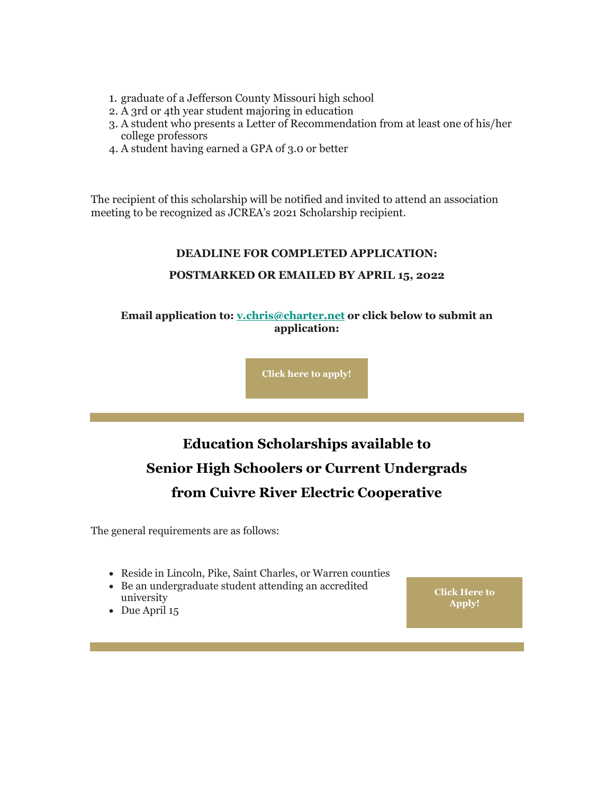- 1. graduate of a Jefferson County Missouri high school
- 2. A 3rd or 4th year student majoring in education
- 3. A student who presents a Letter of Recommendation from at least one of his/her college professors
- 4. A student having earned a GPA of 3.0 or better

The recipient of this scholarship will be notified and invited to attend an association meeting to be recognized as JCREA's 2021 Scholarship recipient.

#### **DEADLINE FOR COMPLETED APPLICATION:**

#### **POSTMARKED OR EMAILED BY APRIL 15, 2022**

**Email application to: [v.chris@charter.net](mailto:v.chris@charter.net) or click below to submit an application:**

**[Click here to apply!](https://nam04.safelinks.protection.outlook.com/?url=https%3A%2F%2Fr20.rs6.net%2Ftn.jsp%3Ff%3D001nmgsxHl_9cKfmMKPxKnJkRpIAU5akRah6Q2sXzOobZNJ3KxweKHhpoFEfQcwHzVZ3qiE21LNL6YDy_49Tt_ir_YNOBqaN0VXZLzsRZAD-xO5ftsRLtM1x-wCaN7Vo_9xKUnA75XUT8SEAX98TxF0cwK6wq0qFjYl8zvlI49-KzimS2RoL46N5RUfRjzyMuT6cPUD5rCJdbr31EfzwN0gW1X8NOQ3XPy9jlPFb-ga2SWLzwHV8eHQ9Bzf7GmwYAa6%26c%3D6H_LL2UQnuSoAuNxe3OyfJzeA8bD1EDQAdyyxRt0eAko71iLousH8A%3D%3D%26ch%3DQcSa5L0ZoOLObwfP2xcmNvgdWcp8LkO3e81FGGTLf0kElWX8DabhQg%3D%3D&data=04%7C01%7Cphuffman%40lindenwood.edu%7C09c3b0849bb641a6b83e08da13f90749%7C3d72f08e540a4c68905d9e69c4d9c61e%7C1%7C0%7C637844257556976928%7CUnknown%7CTWFpbGZsb3d8eyJWIjoiMC4wLjAwMDAiLCJQIjoiV2luMzIiLCJBTiI6Ik1haWwiLCJXVCI6Mn0%3D%7C3000&sdata=pIzxOFP5x9TF7%2FkJ3Ub7yH%2BZ%2Bo%2BmNgoiLF56N5WR6eE%3D&reserved=0)**

## **Education Scholarships available to Senior High Schoolers or Current Undergrads from Cuivre River Electric Cooperative**

The general requirements are as follows:

- Reside in Lincoln, Pike, Saint Charles, or Warren counties
- Be an undergraduate student attending an accredited university
- Due April 15

**[Click Here to](https://nam04.safelinks.protection.outlook.com/?url=https%3A%2F%2Fr20.rs6.net%2Ftn.jsp%3Ff%3D001nmgsxHl_9cKfmMKPxKnJkRpIAU5akRah6Q2sXzOobZNJ3KxweKHhphEmwEmIHApFGPIMcdpyGbtvleJVxgz7fnIuWoa7c2rOBf1uIAXcrklrSv6bUPn7UP9BCMYbhq6hYVmfpjBAWDqkqUNMzauvhcwWdFfdjQU1%26c%3D6H_LL2UQnuSoAuNxe3OyfJzeA8bD1EDQAdyyxRt0eAko71iLousH8A%3D%3D%26ch%3DQcSa5L0ZoOLObwfP2xcmNvgdWcp8LkO3e81FGGTLf0kElWX8DabhQg%3D%3D&data=04%7C01%7Cphuffman%40lindenwood.edu%7C09c3b0849bb641a6b83e08da13f90749%7C3d72f08e540a4c68905d9e69c4d9c61e%7C1%7C0%7C637844257556976928%7CUnknown%7CTWFpbGZsb3d8eyJWIjoiMC4wLjAwMDAiLCJQIjoiV2luMzIiLCJBTiI6Ik1haWwiLCJXVCI6Mn0%3D%7C3000&sdata=k6Ng%2F%2BZWvuP4qMplucBgjkxSM6miz2tbhzWfKLQ8ATQ%3D&reserved=0)  [Apply!](https://nam04.safelinks.protection.outlook.com/?url=https%3A%2F%2Fr20.rs6.net%2Ftn.jsp%3Ff%3D001nmgsxHl_9cKfmMKPxKnJkRpIAU5akRah6Q2sXzOobZNJ3KxweKHhphEmwEmIHApFGPIMcdpyGbtvleJVxgz7fnIuWoa7c2rOBf1uIAXcrklrSv6bUPn7UP9BCMYbhq6hYVmfpjBAWDqkqUNMzauvhcwWdFfdjQU1%26c%3D6H_LL2UQnuSoAuNxe3OyfJzeA8bD1EDQAdyyxRt0eAko71iLousH8A%3D%3D%26ch%3DQcSa5L0ZoOLObwfP2xcmNvgdWcp8LkO3e81FGGTLf0kElWX8DabhQg%3D%3D&data=04%7C01%7Cphuffman%40lindenwood.edu%7C09c3b0849bb641a6b83e08da13f90749%7C3d72f08e540a4c68905d9e69c4d9c61e%7C1%7C0%7C637844257556976928%7CUnknown%7CTWFpbGZsb3d8eyJWIjoiMC4wLjAwMDAiLCJQIjoiV2luMzIiLCJBTiI6Ik1haWwiLCJXVCI6Mn0%3D%7C3000&sdata=k6Ng%2F%2BZWvuP4qMplucBgjkxSM6miz2tbhzWfKLQ8ATQ%3D&reserved=0)**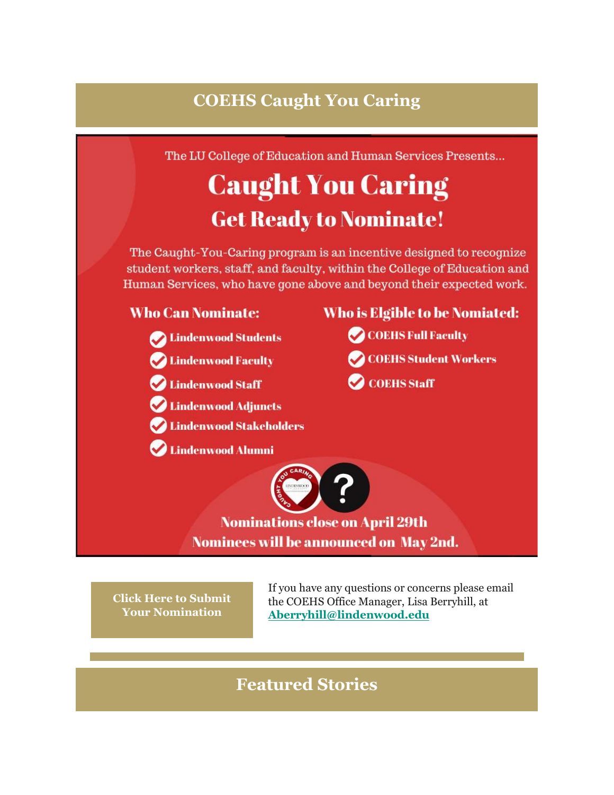## **COEHS Caught You Caring**

The LU College of Education and Human Services Presents...

## **Caught You Caring Get Ready to Nominate!**

The Caught-You-Caring program is an incentive designed to recognize student workers, staff, and faculty, within the College of Education and Human Services, who have gone above and beyond their expected work.

## **Who Can Nominate:**

- Colindenwood Students
- Lindenwood Faculty
- Lindenwood Staff
- Lindenwood Adjuncts
- **Lindenwood Stakeholders**
- **Lindenwood Alumni**

**Nominations close on April 29th** Nominees will be announced on May 2nd.

**[Click Here to Submit](https://nam04.safelinks.protection.outlook.com/?url=https%3A%2F%2Fr20.rs6.net%2Ftn.jsp%3Ff%3D001nmgsxHl_9cKfmMKPxKnJkRpIAU5akRah6Q2sXzOobZNJ3KxweKHhpnRxW66fyHwghcrce80Fffw3W1gbCMerQS_SyvNVqwcFKwLBALodI6Klrwk57vA-NhzM24Pm_ri7DmeV2LudbftT6-NvgDmy-dE5dY6bvs91a5_vZEyKgyY%3D%26c%3D6H_LL2UQnuSoAuNxe3OyfJzeA8bD1EDQAdyyxRt0eAko71iLousH8A%3D%3D%26ch%3DQcSa5L0ZoOLObwfP2xcmNvgdWcp8LkO3e81FGGTLf0kElWX8DabhQg%3D%3D&data=04%7C01%7Cphuffman%40lindenwood.edu%7C09c3b0849bb641a6b83e08da13f90749%7C3d72f08e540a4c68905d9e69c4d9c61e%7C1%7C0%7C637844257556976928%7CUnknown%7CTWFpbGZsb3d8eyJWIjoiMC4wLjAwMDAiLCJQIjoiV2luMzIiLCJBTiI6Ik1haWwiLCJXVCI6Mn0%3D%7C3000&sdata=tIK6MbsIwf%2FybPqUeBHEsfMqELN2Z8Vc8m0PCH0YL%2FQ%3D&reserved=0)  [Your Nomination](https://nam04.safelinks.protection.outlook.com/?url=https%3A%2F%2Fr20.rs6.net%2Ftn.jsp%3Ff%3D001nmgsxHl_9cKfmMKPxKnJkRpIAU5akRah6Q2sXzOobZNJ3KxweKHhpnRxW66fyHwghcrce80Fffw3W1gbCMerQS_SyvNVqwcFKwLBALodI6Klrwk57vA-NhzM24Pm_ri7DmeV2LudbftT6-NvgDmy-dE5dY6bvs91a5_vZEyKgyY%3D%26c%3D6H_LL2UQnuSoAuNxe3OyfJzeA8bD1EDQAdyyxRt0eAko71iLousH8A%3D%3D%26ch%3DQcSa5L0ZoOLObwfP2xcmNvgdWcp8LkO3e81FGGTLf0kElWX8DabhQg%3D%3D&data=04%7C01%7Cphuffman%40lindenwood.edu%7C09c3b0849bb641a6b83e08da13f90749%7C3d72f08e540a4c68905d9e69c4d9c61e%7C1%7C0%7C637844257556976928%7CUnknown%7CTWFpbGZsb3d8eyJWIjoiMC4wLjAwMDAiLCJQIjoiV2luMzIiLCJBTiI6Ik1haWwiLCJXVCI6Mn0%3D%7C3000&sdata=tIK6MbsIwf%2FybPqUeBHEsfMqELN2Z8Vc8m0PCH0YL%2FQ%3D&reserved=0)**

If you have any questions or concerns please email the COEHS Office Manager, Lisa Berryhill, at **[Aberryhill@lindenwood.edu](mailto:Aberryhill@lindenwood.edu)**

**Who is Elgible to be Nomiated:** 

COEHS Student Workers

COEHS Full Faculty

**COEHS** Staff

## **Featured Stories**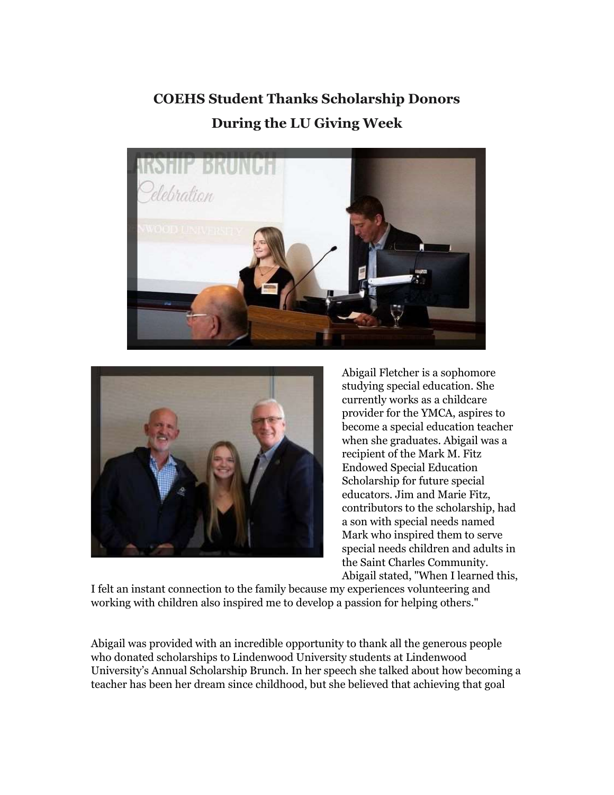**COEHS Student Thanks Scholarship Donors During the LU Giving Week**





Abigail Fletcher is a sophomore studying special education. She currently works as a childcare provider for the YMCA, aspires to become a special education teacher when she graduates. Abigail was a recipient of the Mark M. Fitz Endowed Special Education Scholarship for future special educators. Jim and Marie Fitz, contributors to the scholarship, had a son with special needs named Mark who inspired them to serve special needs children and adults in the Saint Charles Community. Abigail stated, "When I learned this,

I felt an instant connection to the family because my experiences volunteering and working with children also inspired me to develop a passion for helping others."

Abigail was provided with an incredible opportunity to thank all the generous people who donated scholarships to Lindenwood University students at Lindenwood University's Annual Scholarship Brunch. In her speech she talked about how becoming a teacher has been her dream since childhood, but she believed that achieving that goal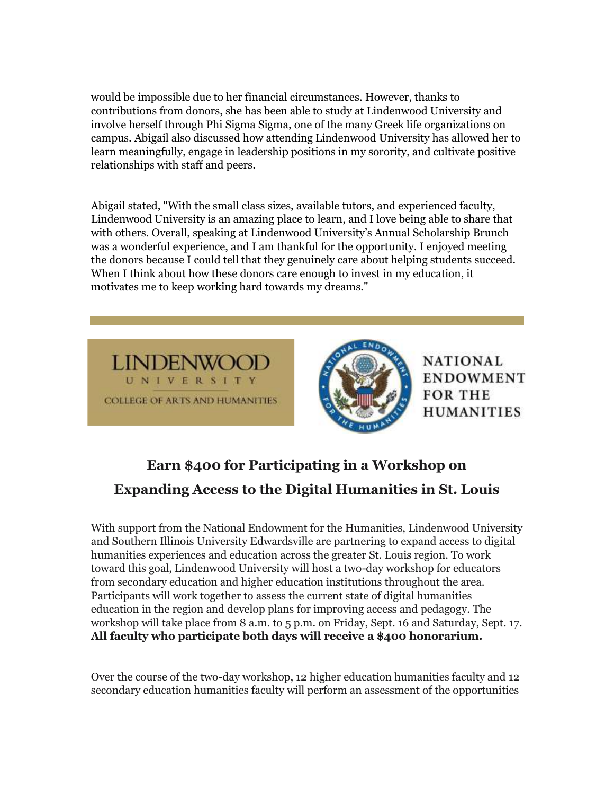would be impossible due to her financial circumstances. However, thanks to contributions from donors, she has been able to study at Lindenwood University and involve herself through Phi Sigma Sigma, one of the many Greek life organizations on campus. Abigail also discussed how attending Lindenwood University has allowed her to learn meaningfully, engage in leadership positions in my sorority, and cultivate positive relationships with staff and peers.

Abigail stated, "With the small class sizes, available tutors, and experienced faculty, Lindenwood University is an amazing place to learn, and I love being able to share that with others. Overall, speaking at Lindenwood University's Annual Scholarship Brunch was a wonderful experience, and I am thankful for the opportunity. I enjoyed meeting the donors because I could tell that they genuinely care about helping students succeed. When I think about how these donors care enough to invest in my education, it motivates me to keep working hard towards my dreams."





**NATIONAL ENDOWMENT FOR THE HUMANITIES** 

## **Earn \$400 for Participating in a Workshop on Expanding Access to the Digital Humanities in St. Louis**

With support from the National Endowment for the Humanities, Lindenwood University and Southern Illinois University Edwardsville are partnering to expand access to digital humanities experiences and education across the greater St. Louis region. To work toward this goal, Lindenwood University will host a two-day workshop for educators from secondary education and higher education institutions throughout the area. Participants will work together to assess the current state of digital humanities education in the region and develop plans for improving access and pedagogy. The workshop will take place from 8 a.m. to 5 p.m. on Friday, Sept. 16 and Saturday, Sept. 17. **All faculty who participate both days will receive a \$400 honorarium.**

Over the course of the two-day workshop, 12 higher education humanities faculty and 12 secondary education humanities faculty will perform an assessment of the opportunities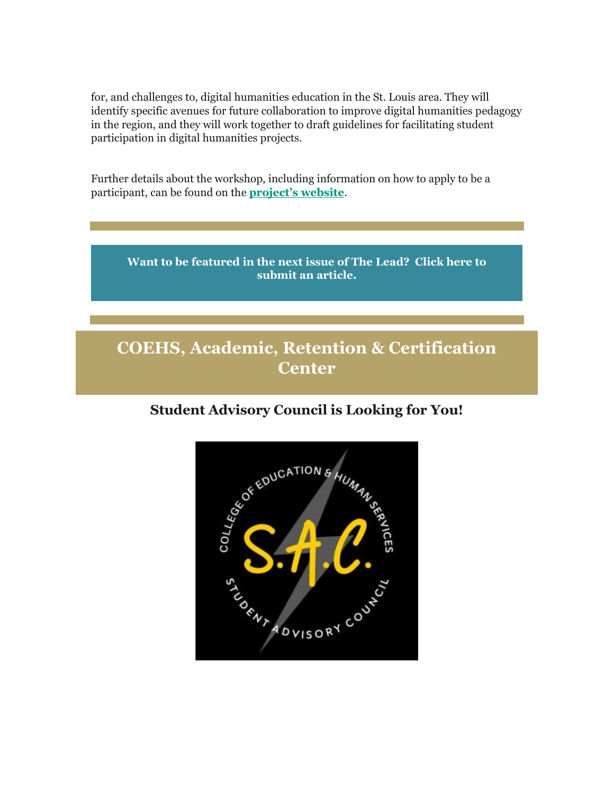for, and challenges to, digital humanities education in the St. Louis area. They will identify specific avenues for future collaboration to improve digital humanities pedagogy in the region, and they will work together to draft guidelines for facilitating student participation in digital humanities projects.

Further details about the workshop, including information on how to apply to be a participant, can be found on the **[project's we](https://nam04.safelinks.protection.outlook.com/?url=https%3A%2F%2Fr20.rs6.net%2Ftn.jsp%3Ff%3D001nmgsxHl_9cKfmMKPxKnJkRpIAU5akRah6Q2sXzOobZNJ3KxweKHhpnRxW66fyHwg8KyIzvCcjr6jhFmSwwWhTDE5UXvooy0p9pPXp59d9_DLbpLuVoKgW1CkjsYoeVQNQ1nB0vRlTUs-D1_m7-lhhe39OaQyhPPnhiBX6Np8szlJ4FecamdRNBsx2ZKKqqxr%26c%3D6H_LL2UQnuSoAuNxe3OyfJzeA8bD1EDQAdyyxRt0eAko71iLousH8A%3D%3D%26ch%3DQcSa5L0ZoOLObwfP2xcmNvgdWcp8LkO3e81FGGTLf0kElWX8DabhQg%3D%3D&data=04%7C01%7Cphuffman%40lindenwood.edu%7C09c3b0849bb641a6b83e08da13f90749%7C3d72f08e540a4c68905d9e69c4d9c61e%7C1%7C0%7C637844257556976928%7CUnknown%7CTWFpbGZsb3d8eyJWIjoiMC4wLjAwMDAiLCJQIjoiV2luMzIiLCJBTiI6Ik1haWwiLCJXVCI6Mn0%3D%7C3000&sdata=krbjgB7nnsdiXGQ8B7tteXVavQEn1RhEhkhoB6dFL9E%3D&reserved=0)bsite**.



## **COEHS, Academic, Retention & Certification Center**

## **Student Advisory Council is Looking for You!**

![](_page_8_Figure_5.jpeg)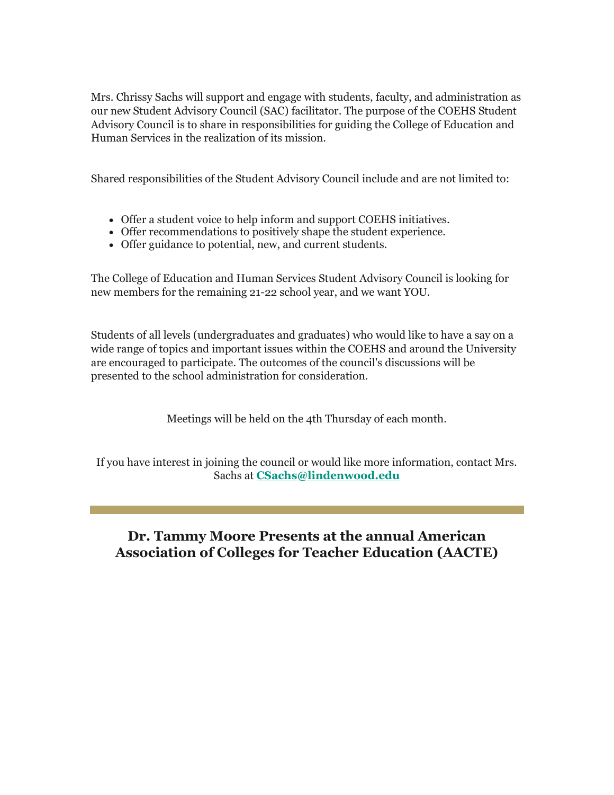Mrs. Chrissy Sachs will support and engage with students, faculty, and administration as our new Student Advisory Council (SAC) facilitator. The purpose of the COEHS Student Advisory Council is to share in responsibilities for guiding the College of Education and Human Services in the realization of its mission.

Shared responsibilities of the Student Advisory Council include and are not limited to:

- Offer a student voice to help inform and support COEHS initiatives.
- Offer recommendations to positively shape the student experience.
- Offer guidance to potential, new, and current students.

The College of Education and Human Services Student Advisory Council is looking for new members for the remaining 21-22 school year, and we want YOU.

Students of all levels (undergraduates and graduates) who would like to have a say on a wide range of topics and important issues within the COEHS and around the University are encouraged to participate. The outcomes of the council's discussions will be presented to the school administration for consideration.

Meetings will be held on the 4th Thursday of each month.

If you have interest in joining the council or would like more information, contact Mrs. Sachs at **[CSachs@lindenwood.edu](mailto:CSachs@lindenwood.edu)** 

## **Dr. Tammy Moore Presents at the annual American Association of Colleges for Teacher Education (AACTE)**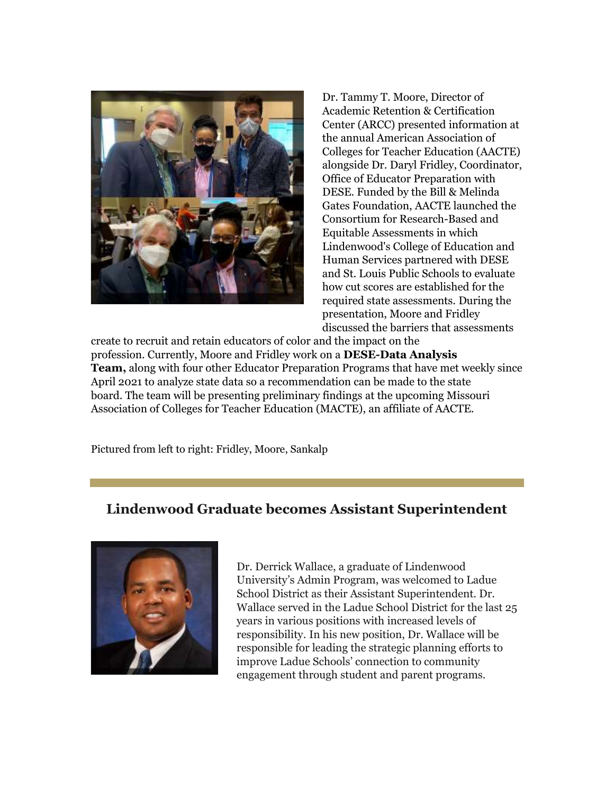![](_page_10_Picture_0.jpeg)

Dr. Tammy T. Moore, Director of Academic Retention & Certification Center (ARCC) presented information at the annual American Association of Colleges for Teacher Education (AACTE) alongside Dr. Daryl Fridley, Coordinator, Office of Educator Preparation with DESE. Funded by the Bill & Melinda Gates Foundation, AACTE launched the Consortium for Research-Based and Equitable Assessments in which Lindenwood's College of Education and Human Services partnered with DESE and St. Louis Public Schools to evaluate how cut scores are established for the required state assessments. During the presentation, Moore and Fridley discussed the barriers that assessments

create to recruit and retain educators of color and the impact on the profession. Currently, Moore and Fridley work on a **DESE-Data Analysis Team,** along with four other Educator Preparation Programs that have met weekly since April 2021 to analyze state data so a recommendation can be made to the state board. The team will be presenting preliminary findings at the upcoming Missouri Association of Colleges for Teacher Education (MACTE), an affiliate of AACTE.

Pictured from left to right: Fridley, Moore, Sankalp

## **Lindenwood Graduate becomes Assistant Superintendent**

![](_page_10_Picture_5.jpeg)

Dr. Derrick Wallace, a graduate of Lindenwood University's Admin Program, was welcomed to Ladue School District as their Assistant Superintendent. Dr. Wallace served in the Ladue School District for the last 25 years in various positions with increased levels of responsibility. In his new position, Dr. Wallace will be responsible for leading the strategic planning efforts to improve Ladue Schools' connection to community engagement through student and parent programs.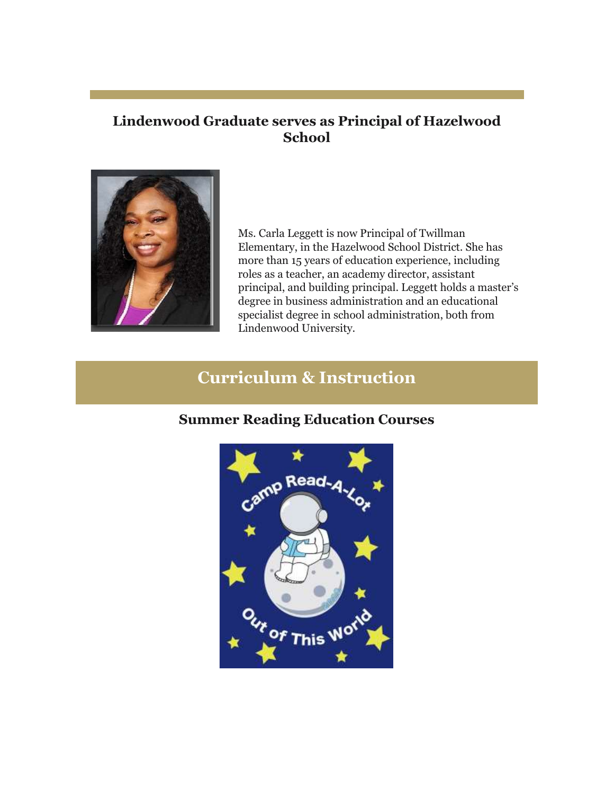## **Lindenwood Graduate serves as Principal of Hazelwood School**

![](_page_11_Picture_1.jpeg)

Ms. Carla Leggett is now Principal of Twillman Elementary, in the Hazelwood School District. She has more than 15 years of education experience, including roles as a teacher, an academy director, assistant principal, and building principal. Leggett holds a master's degree in business administration and an educational specialist degree in school administration, both from Lindenwood University.

## **Curriculum & Instruction**

#### **Summer Reading Education Courses**

![](_page_11_Picture_5.jpeg)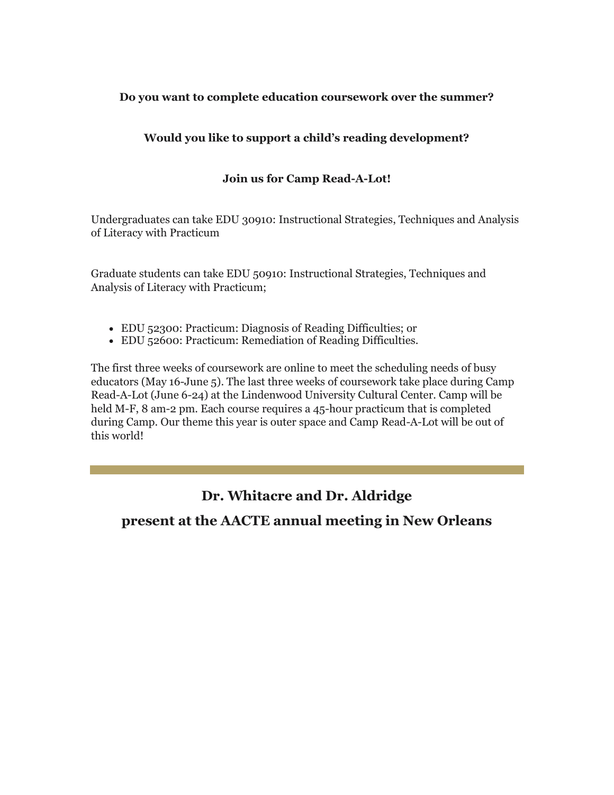#### **Do you want to complete education coursework over the summer?**

#### **Would you like to support a child's reading development?**

#### **Join us for Camp Read-A-Lot!**

Undergraduates can take EDU 30910: Instructional Strategies, Techniques and Analysis of Literacy with Practicum

Graduate students can take EDU 50910: Instructional Strategies, Techniques and Analysis of Literacy with Practicum;

- EDU 52300: Practicum: Diagnosis of Reading Difficulties; or
- EDU 52600: Practicum: Remediation of Reading Difficulties.

The first three weeks of coursework are online to meet the scheduling needs of busy educators (May 16-June 5). The last three weeks of coursework take place during Camp Read-A-Lot (June 6-24) at the Lindenwood University Cultural Center. Camp will be held M-F, 8 am-2 pm. Each course requires a 45-hour practicum that is completed during Camp. Our theme this year is outer space and Camp Read-A-Lot will be out of this world!

## **Dr. Whitacre and Dr. Aldridge**

## **present at the AACTE annual meeting in New Orleans**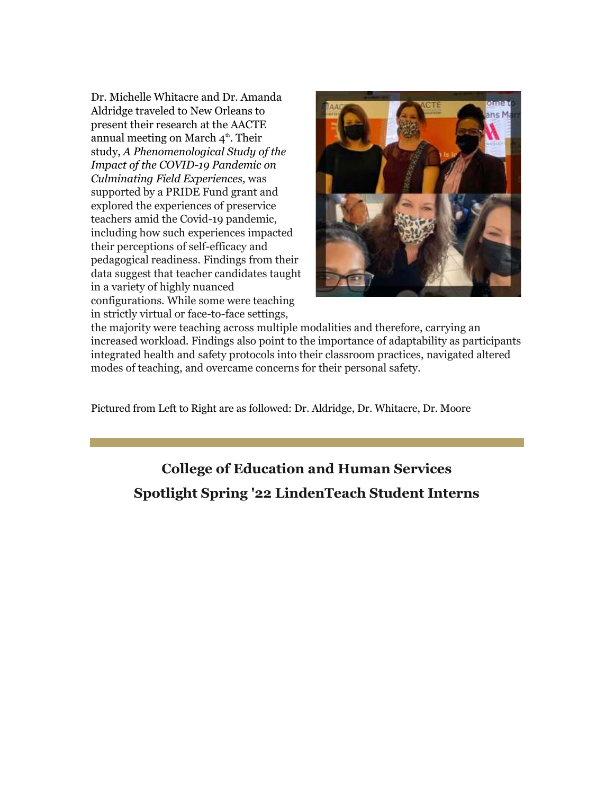Dr. Michelle Whitacre and Dr. Amanda Aldridge traveled to New Orleans to present their research at the AACTE annual meeting on March  $4^{\text{th}}$ . Their study, *A Phenomenological Study of the Impact of the COVID-19 Pandemic on Culminating Field Experiences,* was supported by a PRIDE Fund grant and explored the experiences of preservice teachers amid the Covid-19 pandemic, including how such experiences impacted their perceptions of self-efficacy and pedagogical readiness. Findings from their data suggest that teacher candidates taught in a variety of highly nuanced configurations. While some were teaching in strictly virtual or face-to-face settings,

![](_page_13_Picture_1.jpeg)

the majority were teaching across multiple modalities and therefore, carrying an increased workload. Findings also point to the importance of adaptability as participants integrated health and safety protocols into their classroom practices, navigated altered modes of teaching, and overcame concerns for their personal safety.

Pictured from Left to Right are as followed: Dr. Aldridge, Dr. Whitacre, Dr. Moore

## **College of Education and Human Services Spotlight Spring '22 LindenTeach Student Interns**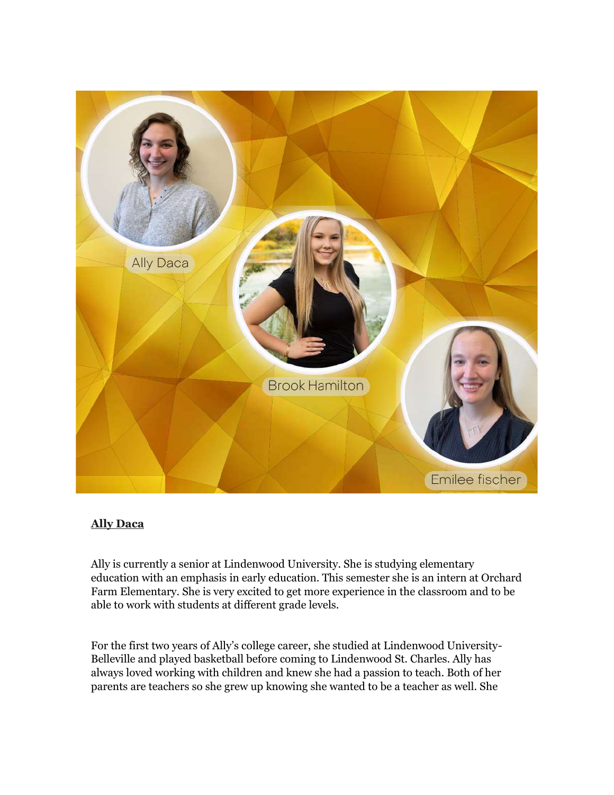![](_page_14_Picture_0.jpeg)

#### **Ally Daca**

Ally is currently a senior at Lindenwood University. She is studying elementary education with an emphasis in early education. This semester she is an intern at Orchard Farm Elementary. She is very excited to get more experience in the classroom and to be able to work with students at different grade levels.

For the first two years of Ally's college career, she studied at Lindenwood University-Belleville and played basketball before coming to Lindenwood St. Charles. Ally has always loved working with children and knew she had a passion to teach. Both of her parents are teachers so she grew up knowing she wanted to be a teacher as well. She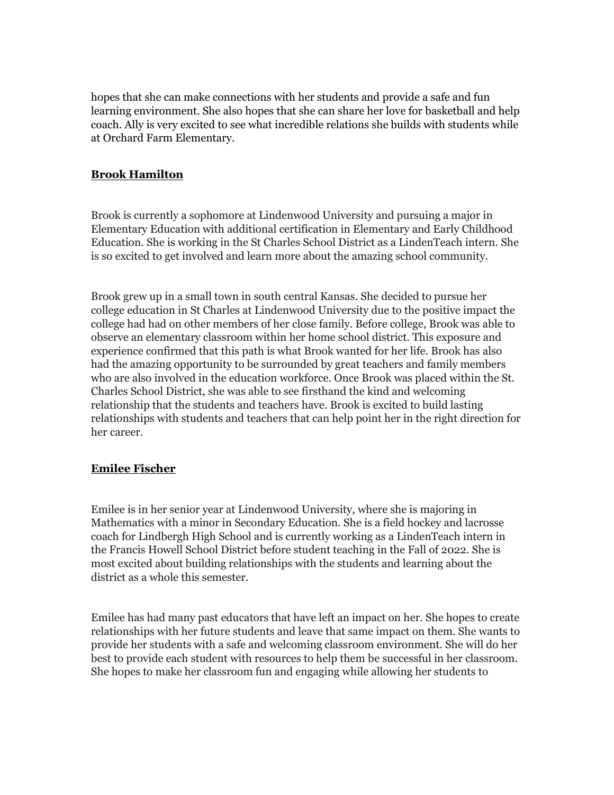hopes that she can make connections with her students and provide a safe and fun learning environment. She also hopes that she can share her love for basketball and help coach. Ally is very excited to see what incredible relations she builds with students while at Orchard Farm Elementary.

#### **Brook Hamilton**

Brook is currently a sophomore at Lindenwood University and pursuing a major in Elementary Education with additional certification in Elementary and Early Childhood Education. She is working in the St Charles School District as a LindenTeach intern. She is so excited to get involved and learn more about the amazing school community.

Brook grew up in a small town in south central Kansas. She decided to pursue her college education in St Charles at Lindenwood University due to the positive impact the college had had on other members of her close family. Before college, Brook was able to observe an elementary classroom within her home school district. This exposure and experience confirmed that this path is what Brook wanted for her life. Brook has also had the amazing opportunity to be surrounded by great teachers and family members who are also involved in the education workforce. Once Brook was placed within the St. Charles School District, she was able to see firsthand the kind and welcoming relationship that the students and teachers have. Brook is excited to build lasting relationships with students and teachers that can help point her in the right direction for her career.

#### **Emilee Fischer**

Emilee is in her senior year at Lindenwood University, where she is majoring in Mathematics with a minor in Secondary Education. She is a field hockey and lacrosse coach for Lindbergh High School and is currently working as a LindenTeach intern in the Francis Howell School District before student teaching in the Fall of 2022. She is most excited about building relationships with the students and learning about the district as a whole this semester.

Emilee has had many past educators that have left an impact on her. She hopes to create relationships with her future students and leave that same impact on them. She wants to provide her students with a safe and welcoming classroom environment. She will do her best to provide each student with resources to help them be successful in her classroom. She hopes to make her classroom fun and engaging while allowing her students to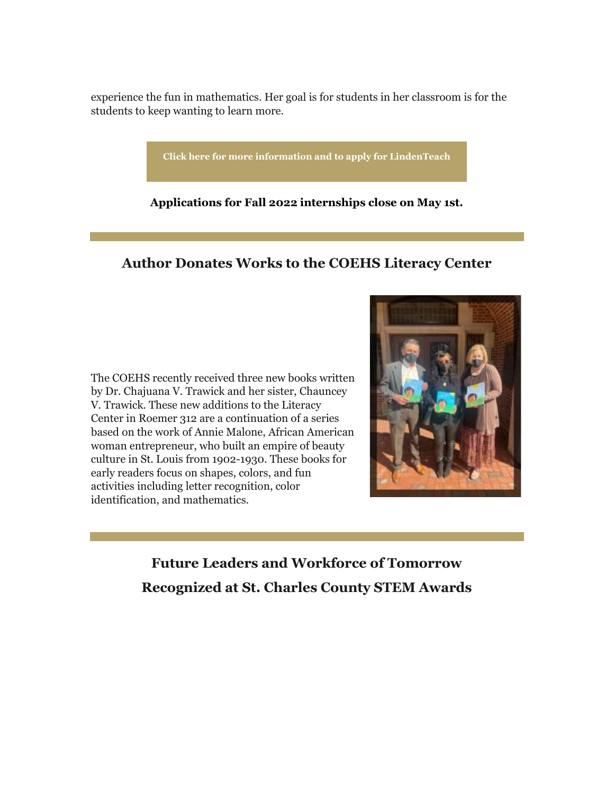experience the fun in mathematics. Her goal is for students in her classroom is for the students to keep wanting to learn more.

**[Click here for more information and to apply for LindenTeach](https://nam04.safelinks.protection.outlook.com/?url=https%3A%2F%2Fr20.rs6.net%2Ftn.jsp%3Ff%3D001nmgsxHl_9cKfmMKPxKnJkRpIAU5akRah6Q2sXzOobZNJ3KxweKHhprwr7WYrHS5AO7Yt_tYMRkhUEh4fEwmZkz7pDa4Yk6N-EPhRYdlzIsKCZNB-rAtouxYEgoHG2ohhqAM2qDHWoCQyoLOpRanRDI41pejR_oPm1FjicnYv9M2ZVLpiZYs4qjRnVW9Ob5W-V1TO8LGSzuALcbfr40v7pQ%3D%3D%26c%3D6H_LL2UQnuSoAuNxe3OyfJzeA8bD1EDQAdyyxRt0eAko71iLousH8A%3D%3D%26ch%3DQcSa5L0ZoOLObwfP2xcmNvgdWcp8LkO3e81FGGTLf0kElWX8DabhQg%3D%3D&data=04%7C01%7Cphuffman%40lindenwood.edu%7C09c3b0849bb641a6b83e08da13f90749%7C3d72f08e540a4c68905d9e69c4d9c61e%7C1%7C0%7C637844257556976928%7CUnknown%7CTWFpbGZsb3d8eyJWIjoiMC4wLjAwMDAiLCJQIjoiV2luMzIiLCJBTiI6Ik1haWwiLCJXVCI6Mn0%3D%7C3000&sdata=f3acHu4bNV1Qp305Wwl22olzEGxoQFVb%2BzEzDraNiVE%3D&reserved=0)**

**Applications for Fall 2022 internships close on May 1st.**

### **Author Donates Works to the COEHS Literacy Center**

The COEHS recently received three new books written by Dr. Chajuana V. Trawick and her sister, Chauncey V. Trawick. These new additions to the Literacy Center in Roemer 312 are a continuation of a series based on the work of Annie Malone, African American woman entrepreneur, who built an empire of beauty culture in St. Louis from 1902-1930. These books for early readers focus on shapes, colors, and fun activities including letter recognition, color identification, and mathematics.

![](_page_16_Picture_5.jpeg)

**Future Leaders and Workforce of Tomorrow Recognized at St. Charles County STEM Awards**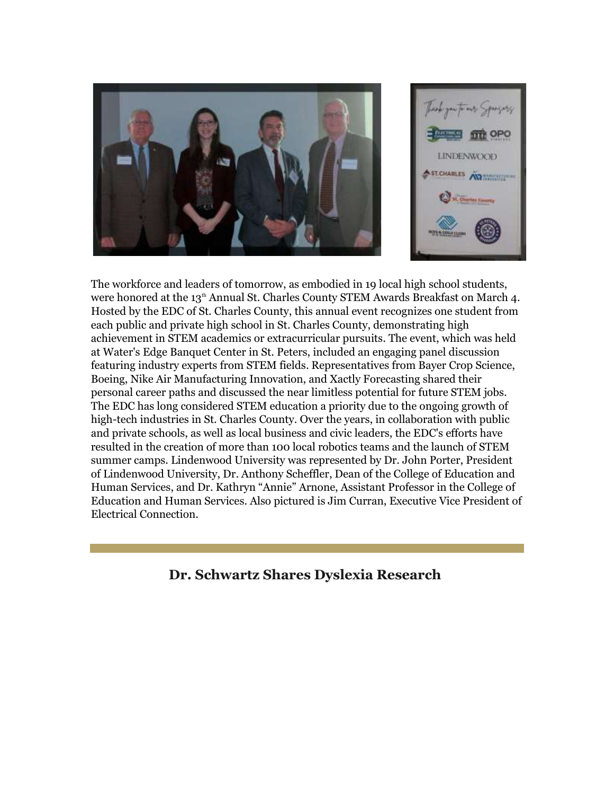![](_page_17_Picture_0.jpeg)

The workforce and leaders of tomorrow, as embodied in 19 local high school students, were honored at the 13<sup>th</sup> Annual St. Charles County STEM Awards Breakfast on March 4. Hosted by the EDC of St. Charles County, this annual event recognizes one student from each public and private high school in St. Charles County, demonstrating high achievement in STEM academics or extracurricular pursuits. The event, which was held at Water's Edge Banquet Center in St. Peters, included an engaging panel discussion featuring industry experts from STEM fields. Representatives from Bayer Crop Science, Boeing, Nike Air Manufacturing Innovation, and Xactly Forecasting shared their personal career paths and discussed the near limitless potential for future STEM jobs. The EDC has long considered STEM education a priority due to the ongoing growth of high-tech industries in St. Charles County. Over the years, in collaboration with public and private schools, as well as local business and civic leaders, the EDC's efforts have resulted in the creation of more than 100 local robotics teams and the launch of STEM summer camps. Lindenwood University was represented by Dr. John Porter, President of Lindenwood University, Dr. Anthony Scheffler, Dean of the College of Education and Human Services, and Dr. Kathryn "Annie" Arnone, Assistant Professor in the College of Education and Human Services. Also pictured is Jim Curran, Executive Vice President of Electrical Connection.

## **Dr. Schwartz Shares Dyslexia Research**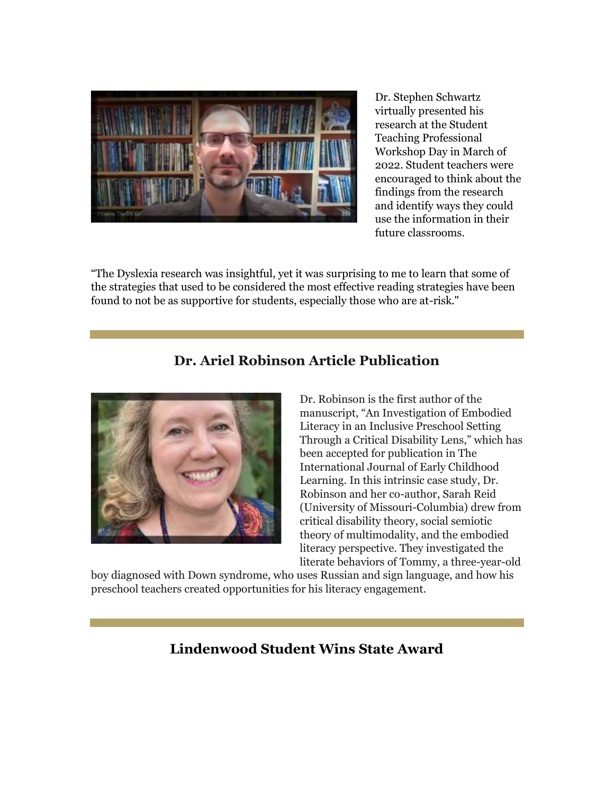![](_page_18_Picture_0.jpeg)

Dr. Stephen Schwartz virtually presented his research at the Student Teaching Professional Workshop Day in March of 2022. Student teachers were encouraged to think about the findings from the research and identify ways they could use the information in their future classrooms.

"The Dyslexia research was insightful, yet it was surprising to me to learn that some of the strategies that used to be considered the most effective reading strategies have been found to not be as supportive for students, especially those who are at-risk."

## **Dr. Ariel Robinson Article Publication**

![](_page_18_Picture_4.jpeg)

Dr. Robinson is the first author of the manuscript, "An Investigation of Embodied Literacy in an Inclusive Preschool Setting Through a Critical Disability Lens," which has been accepted for publication in The International Journal of Early Childhood Learning. In this intrinsic case study, Dr. Robinson and her co-author, Sarah Reid (University of Missouri-Columbia) drew from critical disability theory, social semiotic theory of multimodality, and the embodied literacy perspective. They investigated the literate behaviors of Tommy, a three-year-old

boy diagnosed with Down syndrome, who uses Russian and sign language, and how his preschool teachers created opportunities for his literacy engagement.

## **Lindenwood Student Wins State Award**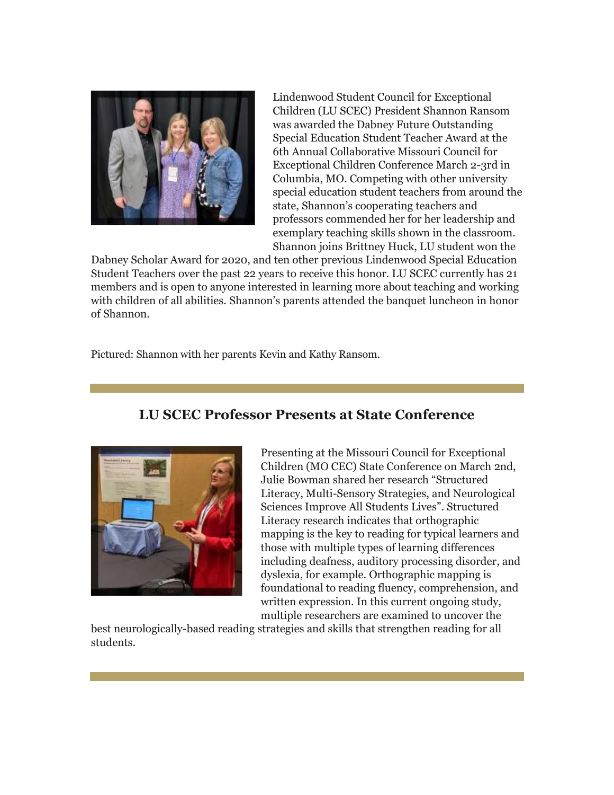![](_page_19_Picture_0.jpeg)

Lindenwood Student Council for Exceptional Children (LU SCEC) President Shannon Ransom was awarded the Dabney Future Outstanding Special Education Student Teacher Award at the 6th Annual Collaborative Missouri Council for Exceptional Children Conference March 2-3rd in Columbia, MO. Competing with other university special education student teachers from around the state, Shannon's cooperating teachers and professors commended her for her leadership and exemplary teaching skills shown in the classroom. Shannon joins Brittney Huck, LU student won the

Dabney Scholar Award for 2020, and ten other previous Lindenwood Special Education Student Teachers over the past 22 years to receive this honor. LU SCEC currently has 21 members and is open to anyone interested in learning more about teaching and working with children of all abilities. Shannon's parents attended the banquet luncheon in honor of Shannon.

Pictured: Shannon with her parents Kevin and Kathy Ransom.

## **LU SCEC Professor Presents at State Conference**

![](_page_19_Picture_5.jpeg)

Presenting at the Missouri Council for Exceptional Children (MO CEC) State Conference on March 2nd, Julie Bowman shared her research "Structured Literacy, Multi-Sensory Strategies, and Neurological Sciences Improve All Students Lives". Structured Literacy research indicates that orthographic mapping is the key to reading for typical learners and those with multiple types of learning differences including deafness, auditory processing disorder, and dyslexia, for example. Orthographic mapping is foundational to reading fluency, comprehension, and written expression. In this current ongoing study, multiple researchers are examined to uncover the

best neurologically-based reading strategies and skills that strengthen reading for all students.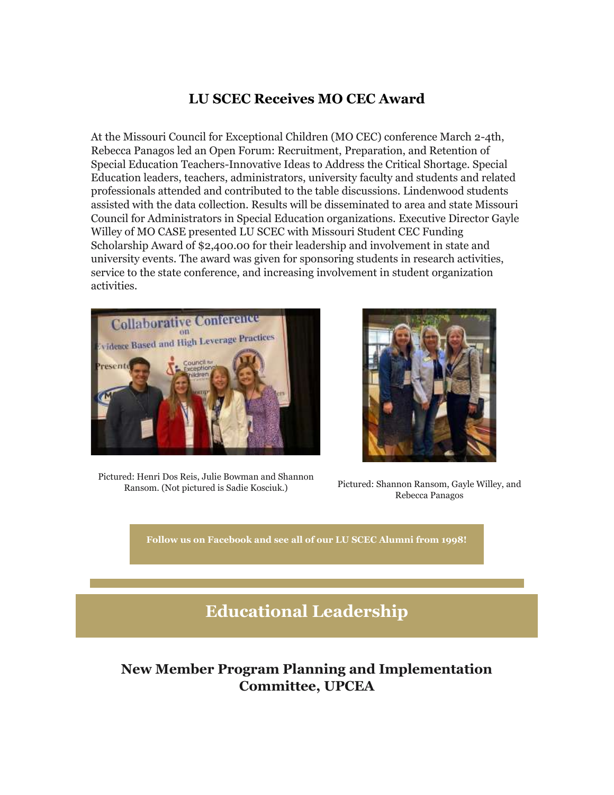## **LU SCEC Receives MO CEC Award**

At the Missouri Council for Exceptional Children (MO CEC) conference March 2-4th, Rebecca Panagos led an Open Forum: Recruitment, Preparation, and Retention of Special Education Teachers-Innovative Ideas to Address the Critical Shortage. Special Education leaders, teachers, administrators, university faculty and students and related professionals attended and contributed to the table discussions. Lindenwood students assisted with the data collection. Results will be disseminated to area and state Missouri Council for Administrators in Special Education organizations. Executive Director Gayle Willey of MO CASE presented LU SCEC with Missouri Student CEC Funding Scholarship Award of \$2,400.00 for their leadership and involvement in state and university events. The award was given for sponsoring students in research activities, service to the state conference, and increasing involvement in student organization activities.

![](_page_20_Picture_2.jpeg)

Pictured: Henri Dos Reis, Julie Bowman and Shannon Ransom. (Not pictured is Sadie Kosciuk.) Pictured: Shannon Ransom, Gayle Willey, and

![](_page_20_Picture_4.jpeg)

Rebecca Panagos

**[Follow us on Facebook and see all of our LU SCEC Alumni from 1998!](https://nam04.safelinks.protection.outlook.com/?url=https%3A%2F%2Fr20.rs6.net%2Ftn.jsp%3Ff%3D001nmgsxHl_9cKfmMKPxKnJkRpIAU5akRah6Q2sXzOobZNJ3KxweKHhpnRxW66fyHwgtALHaYnqRGJtW6PzBHSb4yM8Sj0CQ4QwkW2YdgKp5XSV3wshn9x8gc1GMI87RSgcnfuqWkGDP1PYKBgpsmMfHEjSjimdaNyLbZVMaYjI570tiG3i0QMysG-bdnFBmuedR0pXXr5JLJC3DfpFmotGbw%3D%3D%26c%3D6H_LL2UQnuSoAuNxe3OyfJzeA8bD1EDQAdyyxRt0eAko71iLousH8A%3D%3D%26ch%3DQcSa5L0ZoOLObwfP2xcmNvgdWcp8LkO3e81FGGTLf0kElWX8DabhQg%3D%3D&data=04%7C01%7Cphuffman%40lindenwood.edu%7C09c3b0849bb641a6b83e08da13f90749%7C3d72f08e540a4c68905d9e69c4d9c61e%7C1%7C0%7C637844257556976928%7CUnknown%7CTWFpbGZsb3d8eyJWIjoiMC4wLjAwMDAiLCJQIjoiV2luMzIiLCJBTiI6Ik1haWwiLCJXVCI6Mn0%3D%7C3000&sdata=5l6qfOXqogZMtyZkF7JGn8GsOyjof8E6wFABguZwXGU%3D&reserved=0)**

## **Educational Leadership**

## **New Member Program Planning and Implementation Committee, UPCEA**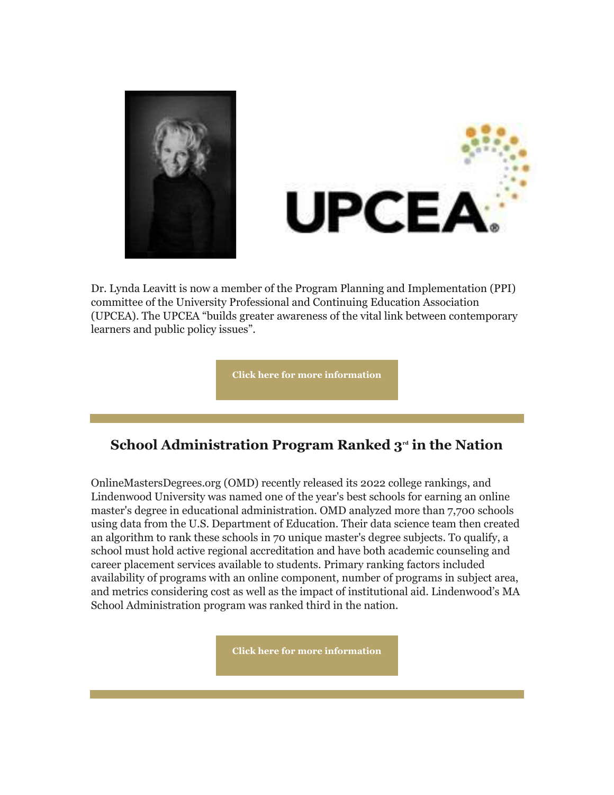![](_page_21_Picture_0.jpeg)

![](_page_21_Picture_1.jpeg)

Dr. Lynda Leavitt is now a member of the Program Planning and Implementation (PPI) committee of the University Professional and Continuing Education Association (UPCEA). The UPCEA "builds greater awareness of the vital link between contemporary learners and public policy issues".

**[Click here for more information](https://nam04.safelinks.protection.outlook.com/?url=https%3A%2F%2Fr20.rs6.net%2Ftn.jsp%3Ff%3D001nmgsxHl_9cKfmMKPxKnJkRpIAU5akRah6Q2sXzOobZNJ3KxweKHhpnRxW66fyHwgBogSFWHP9NKheucSFA5VEUckvDgQ9HpSVFU3dfkoSJtZ5DjnUCWH-3_Of78HdSAxxWMZSxDYzwA%3D%26c%3D6H_LL2UQnuSoAuNxe3OyfJzeA8bD1EDQAdyyxRt0eAko71iLousH8A%3D%3D%26ch%3DQcSa5L0ZoOLObwfP2xcmNvgdWcp8LkO3e81FGGTLf0kElWX8DabhQg%3D%3D&data=04%7C01%7Cphuffman%40lindenwood.edu%7C09c3b0849bb641a6b83e08da13f90749%7C3d72f08e540a4c68905d9e69c4d9c61e%7C1%7C0%7C637844257556976928%7CUnknown%7CTWFpbGZsb3d8eyJWIjoiMC4wLjAwMDAiLCJQIjoiV2luMzIiLCJBTiI6Ik1haWwiLCJXVCI6Mn0%3D%7C3000&sdata=Awy7REirUbhJj2IREppiINRg0fYfsMah%2BrozoXZObk8%3D&reserved=0)**

## **School Administration Program Ranked 3rd in the Nation**

OnlineMastersDegrees.org (OMD) recently released its 2022 college rankings, and Lindenwood University was named one of the year's best schools for earning an online master's degree in educational administration. OMD analyzed more than 7,700 schools using data from the U.S. Department of Education. Their data science team then created an algorithm to rank these schools in 70 unique master's degree subjects. To qualify, a school must hold active regional accreditation and have both academic counseling and career placement services available to students. Primary ranking factors included availability of programs with an online component, number of programs in subject area, and metrics considering cost as well as the impact of institutional aid. Lindenwood's MA School Administration program was ranked third in the nation.

**[Click here for more information](https://nam04.safelinks.protection.outlook.com/?url=https%3A%2F%2Fr20.rs6.net%2Ftn.jsp%3Ff%3D001nmgsxHl_9cKfmMKPxKnJkRpIAU5akRah6Q2sXzOobZNJ3KxweKHhpnRxW66fyHwgOO-gYVm7vPZIHMeNW0wR-30l38m4DIISoGuSDqpmPev6hebXe-gV9e_PRIAi_6oR2sbg-6wx2SNIzXqLuBVKsJjSu-CukRo1SocdOD-YbtrfnnisoKxEUKUOGwk5elH97yVtxxOF7XS6sSBhfPRiqUwB2WSZrNVdsUcDlxDYeZs%3D%26c%3D6H_LL2UQnuSoAuNxe3OyfJzeA8bD1EDQAdyyxRt0eAko71iLousH8A%3D%3D%26ch%3DQcSa5L0ZoOLObwfP2xcmNvgdWcp8LkO3e81FGGTLf0kElWX8DabhQg%3D%3D&data=04%7C01%7Cphuffman%40lindenwood.edu%7C09c3b0849bb641a6b83e08da13f90749%7C3d72f08e540a4c68905d9e69c4d9c61e%7C1%7C0%7C637844257556976928%7CUnknown%7CTWFpbGZsb3d8eyJWIjoiMC4wLjAwMDAiLCJQIjoiV2luMzIiLCJBTiI6Ik1haWwiLCJXVCI6Mn0%3D%7C3000&sdata=5encdYyB5Jz1qmX3eHpUU5BK6b%2F%2Berl0o9lLv1A46gU%3D&reserved=0)**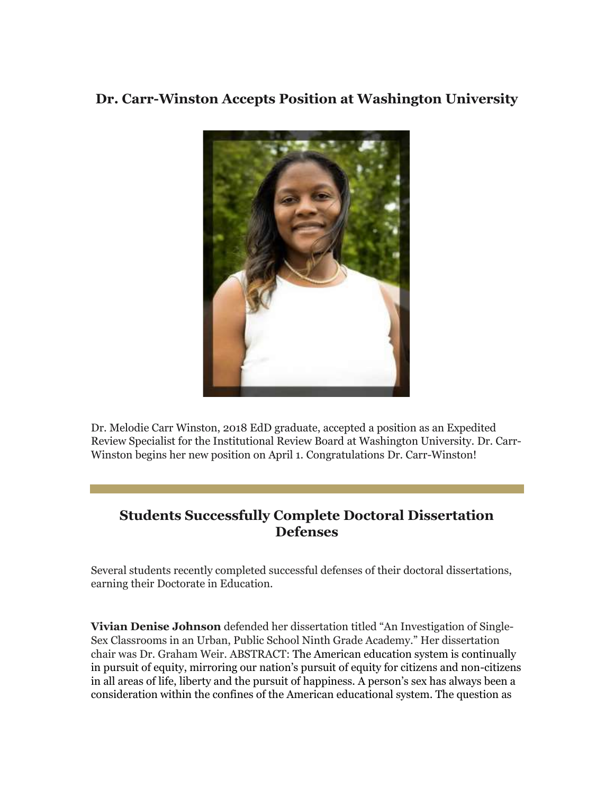## **Dr. Carr-Winston Accepts Position at Washington University**

![](_page_22_Picture_1.jpeg)

Dr. Melodie Carr Winston, 2018 EdD graduate, accepted a position as an Expedited Review Specialist for the Institutional Review Board at Washington University. Dr. Carr-Winston begins her new position on April 1. Congratulations Dr. Carr-Winston!

## **Students Successfully Complete Doctoral Dissertation Defenses**

Several students recently completed successful defenses of their doctoral dissertations, earning their Doctorate in Education.

**Vivian Denise Johnson** defended her dissertation titled "An Investigation of Single-Sex Classrooms in an Urban, Public School Ninth Grade Academy." Her dissertation chair was Dr. Graham Weir. ABSTRACT: The American education system is continually in pursuit of equity, mirroring our nation's pursuit of equity for citizens and non-citizens in all areas of life, liberty and the pursuit of happiness. A person's sex has always been a consideration within the confines of the American educational system. The question as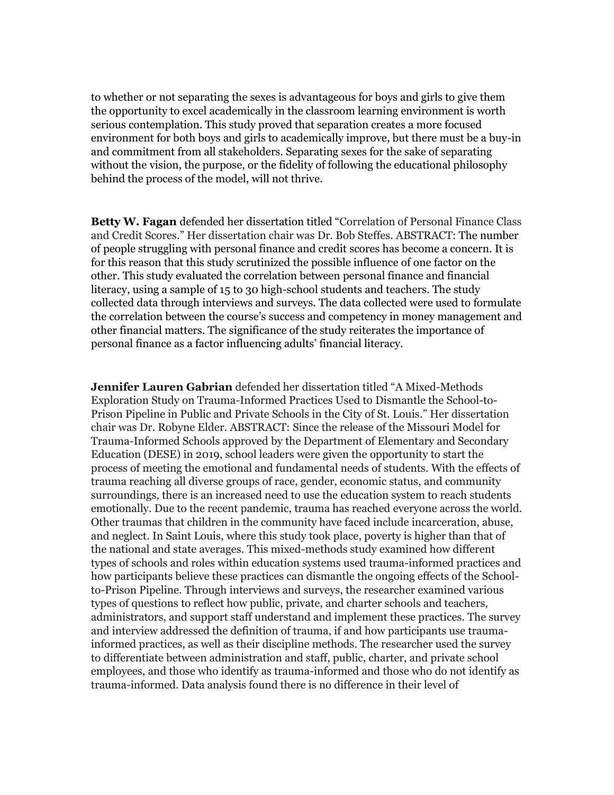to whether or not separating the sexes is advantageous for boys and girls to give them the opportunity to excel academically in the classroom learning environment is worth serious contemplation. This study proved that separation creates a more focused environment for both boys and girls to academically improve, but there must be a buy-in and commitment from all stakeholders. Separating sexes for the sake of separating without the vision, the purpose, or the fidelity of following the educational philosophy behind the process of the model, will not thrive.

**Betty W. Fagan** defended her dissertation titled "Correlation of Personal Finance Class and Credit Scores." Her dissertation chair was Dr. Bob Steffes. ABSTRACT: The number of people struggling with personal finance and credit scores has become a concern. It is for this reason that this study scrutinized the possible influence of one factor on the other. This study evaluated the correlation between personal finance and financial literacy, using a sample of 15 to 30 high-school students and teachers. The study collected data through interviews and surveys. The data collected were used to formulate the correlation between the course's success and competency in money management and other financial matters. The significance of the study reiterates the importance of personal finance as a factor influencing adults' financial literacy.

**Jennifer Lauren Gabrian** defended her dissertation titled "A Mixed-Methods Exploration Study on Trauma-Informed Practices Used to Dismantle the School-to-Prison Pipeline in Public and Private Schools in the City of St. Louis." Her dissertation chair was Dr. Robyne Elder. ABSTRACT: Since the release of the Missouri Model for Trauma-Informed Schools approved by the Department of Elementary and Secondary Education (DESE) in 2019, school leaders were given the opportunity to start the process of meeting the emotional and fundamental needs of students. With the effects of trauma reaching all diverse groups of race, gender, economic status, and community surroundings, there is an increased need to use the education system to reach students emotionally. Due to the recent pandemic, trauma has reached everyone across the world. Other traumas that children in the community have faced include incarceration, abuse, and neglect. In Saint Louis, where this study took place, poverty is higher than that of the national and state averages. This mixed-methods study examined how different types of schools and roles within education systems used trauma-informed practices and how participants believe these practices can dismantle the ongoing effects of the Schoolto-Prison Pipeline. Through interviews and surveys, the researcher examined various types of questions to reflect how public, private, and charter schools and teachers, administrators, and support staff understand and implement these practices. The survey and interview addressed the definition of trauma, if and how participants use traumainformed practices, as well as their discipline methods. The researcher used the survey to differentiate between administration and staff, public, charter, and private school employees, and those who identify as trauma-informed and those who do not identify as trauma-informed. Data analysis found there is no difference in their level of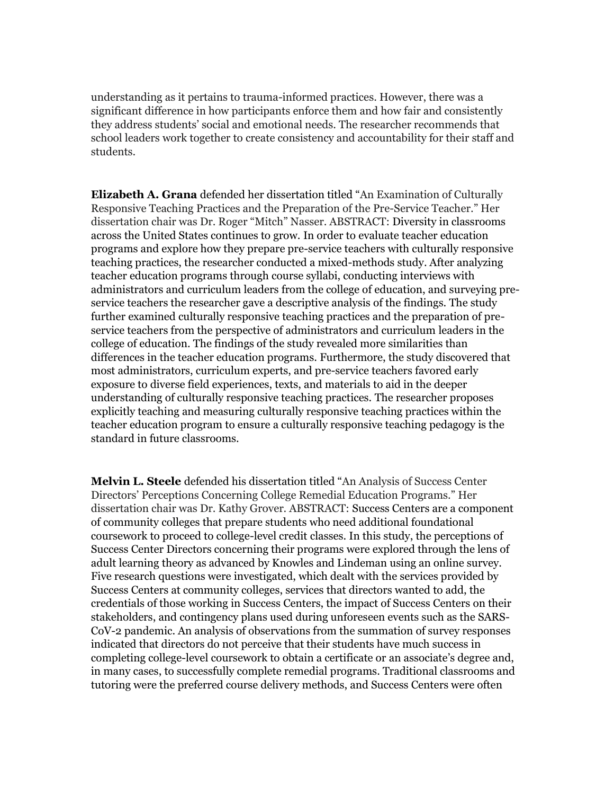understanding as it pertains to trauma-informed practices. However, there was a significant difference in how participants enforce them and how fair and consistently they address students' social and emotional needs. The researcher recommends that school leaders work together to create consistency and accountability for their staff and students.

**Elizabeth A. Grana** defended her dissertation titled "An Examination of Culturally Responsive Teaching Practices and the Preparation of the Pre-Service Teacher." Her dissertation chair was Dr. Roger "Mitch" Nasser. ABSTRACT: Diversity in classrooms across the United States continues to grow. In order to evaluate teacher education programs and explore how they prepare pre-service teachers with culturally responsive teaching practices, the researcher conducted a mixed-methods study. After analyzing teacher education programs through course syllabi, conducting interviews with administrators and curriculum leaders from the college of education, and surveying preservice teachers the researcher gave a descriptive analysis of the findings. The study further examined culturally responsive teaching practices and the preparation of preservice teachers from the perspective of administrators and curriculum leaders in the college of education. The findings of the study revealed more similarities than differences in the teacher education programs. Furthermore, the study discovered that most administrators, curriculum experts, and pre-service teachers favored early exposure to diverse field experiences, texts, and materials to aid in the deeper understanding of culturally responsive teaching practices. The researcher proposes explicitly teaching and measuring culturally responsive teaching practices within the teacher education program to ensure a culturally responsive teaching pedagogy is the standard in future classrooms.

**Melvin L. Steele** defended his dissertation titled "An Analysis of Success Center Directors' Perceptions Concerning College Remedial Education Programs." Her dissertation chair was Dr. Kathy Grover. ABSTRACT: Success Centers are a component of community colleges that prepare students who need additional foundational coursework to proceed to college-level credit classes. In this study, the perceptions of Success Center Directors concerning their programs were explored through the lens of adult learning theory as advanced by Knowles and Lindeman using an online survey. Five research questions were investigated, which dealt with the services provided by Success Centers at community colleges, services that directors wanted to add, the credentials of those working in Success Centers, the impact of Success Centers on their stakeholders, and contingency plans used during unforeseen events such as the SARS-CoV-2 pandemic. An analysis of observations from the summation of survey responses indicated that directors do not perceive that their students have much success in completing college-level coursework to obtain a certificate or an associate's degree and, in many cases, to successfully complete remedial programs. Traditional classrooms and tutoring were the preferred course delivery methods, and Success Centers were often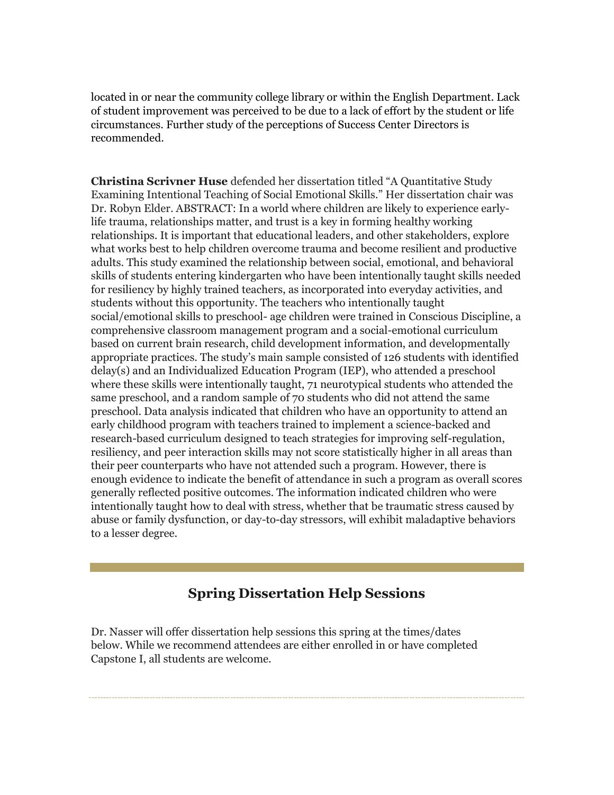located in or near the community college library or within the English Department. Lack of student improvement was perceived to be due to a lack of effort by the student or life circumstances. Further study of the perceptions of Success Center Directors is recommended.

**Christina Scrivner Huse** defended her dissertation titled "A Quantitative Study Examining Intentional Teaching of Social Emotional Skills." Her dissertation chair was Dr. Robyn Elder. ABSTRACT: In a world where children are likely to experience earlylife trauma, relationships matter, and trust is a key in forming healthy working relationships. It is important that educational leaders, and other stakeholders, explore what works best to help children overcome trauma and become resilient and productive adults. This study examined the relationship between social, emotional, and behavioral skills of students entering kindergarten who have been intentionally taught skills needed for resiliency by highly trained teachers, as incorporated into everyday activities, and students without this opportunity. The teachers who intentionally taught social/emotional skills to preschool- age children were trained in Conscious Discipline, a comprehensive classroom management program and a social-emotional curriculum based on current brain research, child development information, and developmentally appropriate practices. The study's main sample consisted of 126 students with identified delay(s) and an Individualized Education Program (IEP), who attended a preschool where these skills were intentionally taught, 71 neurotypical students who attended the same preschool, and a random sample of 70 students who did not attend the same preschool. Data analysis indicated that children who have an opportunity to attend an early childhood program with teachers trained to implement a science-backed and research-based curriculum designed to teach strategies for improving self-regulation, resiliency, and peer interaction skills may not score statistically higher in all areas than their peer counterparts who have not attended such a program. However, there is enough evidence to indicate the benefit of attendance in such a program as overall scores generally reflected positive outcomes. The information indicated children who were intentionally taught how to deal with stress, whether that be traumatic stress caused by abuse or family dysfunction, or day-to-day stressors, will exhibit maladaptive behaviors to a lesser degree.

## **Spring Dissertation Help Sessions**

Dr. Nasser will offer dissertation help sessions this spring at the times/dates below. While we recommend attendees are either enrolled in or have completed Capstone I, all students are welcome.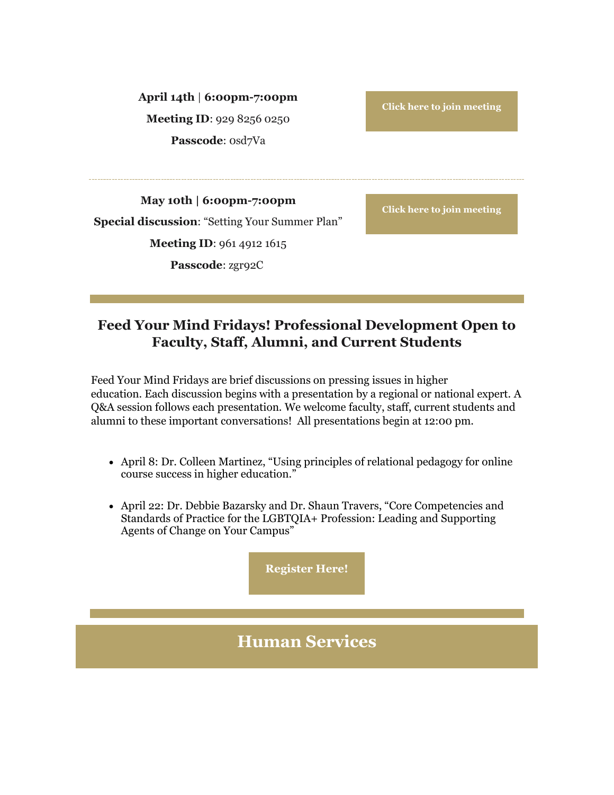**April 14th** | **6:00pm-7:00pm Meeting ID**: 929 8256 0250 **Passcode**: 0sd7Va

**[Click here to join meeting](https://nam04.safelinks.protection.outlook.com/?url=https%3A%2F%2Fr20.rs6.net%2Ftn.jsp%3Ff%3D001nmgsxHl_9cKfmMKPxKnJkRpIAU5akRah6Q2sXzOobZNJ3KxweKHhphEmwEmIHApFifPEGdj57HT-3w_ApxyamODc34l-FS0-WuZEZo2fOyNdrtvrFpEAQm51KoX3LGm55dmS8AdPcV_worbbSR4n8m22Uiz4JCD27voXrP23p-HPvWCUMvT8zc4DZSsL6fhu4tDHqPr0qPpokhCkrGHD-w%3D%3D%26c%3D6H_LL2UQnuSoAuNxe3OyfJzeA8bD1EDQAdyyxRt0eAko71iLousH8A%3D%3D%26ch%3DQcSa5L0ZoOLObwfP2xcmNvgdWcp8LkO3e81FGGTLf0kElWX8DabhQg%3D%3D&data=04%7C01%7Cphuffman%40lindenwood.edu%7C09c3b0849bb641a6b83e08da13f90749%7C3d72f08e540a4c68905d9e69c4d9c61e%7C1%7C0%7C637844257556976928%7CUnknown%7CTWFpbGZsb3d8eyJWIjoiMC4wLjAwMDAiLCJQIjoiV2luMzIiLCJBTiI6Ik1haWwiLCJXVCI6Mn0%3D%7C3000&sdata=vF6fmTSNsUmxQuieO1WsolQfI1nZlcYYJdN1t6CpbOk%3D&reserved=0)**

**May 10th | 6:00pm-7:00pm Special discussion**: "Setting Your Summer Plan" **Meeting ID**: 961 4912 1615 **Passcode**: zgr92C

**[Click here to join meeting](https://nam04.safelinks.protection.outlook.com/?url=https%3A%2F%2Fr20.rs6.net%2Ftn.jsp%3Ff%3D001nmgsxHl_9cKfmMKPxKnJkRpIAU5akRah6Q2sXzOobZNJ3KxweKHhphEmwEmIHApFr2TUTLAXVixOKKTg-RqBznVSg8pVpP3X_x2CD_Q2MkEaMHR0pLaIIvYKzryiqTQqDHYj7izdU-ZUmZufZM1ThNj1HZl2c5Q-Pmng6Xum56fJZVJsMBEw2nrDRicGQceQGko4NYzvAu7FJR6aJlmf_A%3D%3D%26c%3D6H_LL2UQnuSoAuNxe3OyfJzeA8bD1EDQAdyyxRt0eAko71iLousH8A%3D%3D%26ch%3DQcSa5L0ZoOLObwfP2xcmNvgdWcp8LkO3e81FGGTLf0kElWX8DabhQg%3D%3D&data=04%7C01%7Cphuffman%40lindenwood.edu%7C09c3b0849bb641a6b83e08da13f90749%7C3d72f08e540a4c68905d9e69c4d9c61e%7C1%7C0%7C637844257556976928%7CUnknown%7CTWFpbGZsb3d8eyJWIjoiMC4wLjAwMDAiLCJQIjoiV2luMzIiLCJBTiI6Ik1haWwiLCJXVCI6Mn0%3D%7C3000&sdata=KhBTbU3ceMfO6KyAKqzPeWdUqbZWDQfiU6I8qkoe12k%3D&reserved=0)**

## **Feed Your Mind Fridays! Professional Development Open to Faculty, Staff, Alumni, and Current Students**

Feed Your Mind Fridays are brief discussions on pressing issues in higher education. Each discussion begins with a presentation by a regional or national expert. A Q&A session follows each presentation. We welcome faculty, staff, current students and alumni to these important conversations! All presentations begin at 12:00 pm.

- April 8: Dr. Colleen Martinez, "Using principles of relational pedagogy for online course success in higher education."
- April 22: Dr. Debbie Bazarsky and Dr. Shaun Travers, "Core Competencies and Standards of Practice for the LGBTQIA+ Profession: Leading and Supporting Agents of Change on Your Campus"

**[Register Here!](https://nam04.safelinks.protection.outlook.com/?url=https%3A%2F%2Fr20.rs6.net%2Ftn.jsp%3Ff%3D001nmgsxHl_9cKfmMKPxKnJkRpIAU5akRah6Q2sXzOobZNJ3KxweKHhpoFEfQcwHzVZZRyKaHk8abVoYVzyy_dBbSDSMol8kHtesAb8kmYOYsa-v_WSPkx7sQsoKNP1nQFcpkHIrRKJm-ROTjyOxW3qYujTotvnef1H0Yy4T9ze7LgA9Ky6eyhYsw%3D%3D%26c%3D6H_LL2UQnuSoAuNxe3OyfJzeA8bD1EDQAdyyxRt0eAko71iLousH8A%3D%3D%26ch%3DQcSa5L0ZoOLObwfP2xcmNvgdWcp8LkO3e81FGGTLf0kElWX8DabhQg%3D%3D&data=04%7C01%7Cphuffman%40lindenwood.edu%7C09c3b0849bb641a6b83e08da13f90749%7C3d72f08e540a4c68905d9e69c4d9c61e%7C1%7C0%7C637844257556976928%7CUnknown%7CTWFpbGZsb3d8eyJWIjoiMC4wLjAwMDAiLCJQIjoiV2luMzIiLCJBTiI6Ik1haWwiLCJXVCI6Mn0%3D%7C3000&sdata=ytvzsrHYNAWkB7ln3V1IZBRkN%2FIMmQzoBaLuodHtsjI%3D&reserved=0)**

## **Human Services**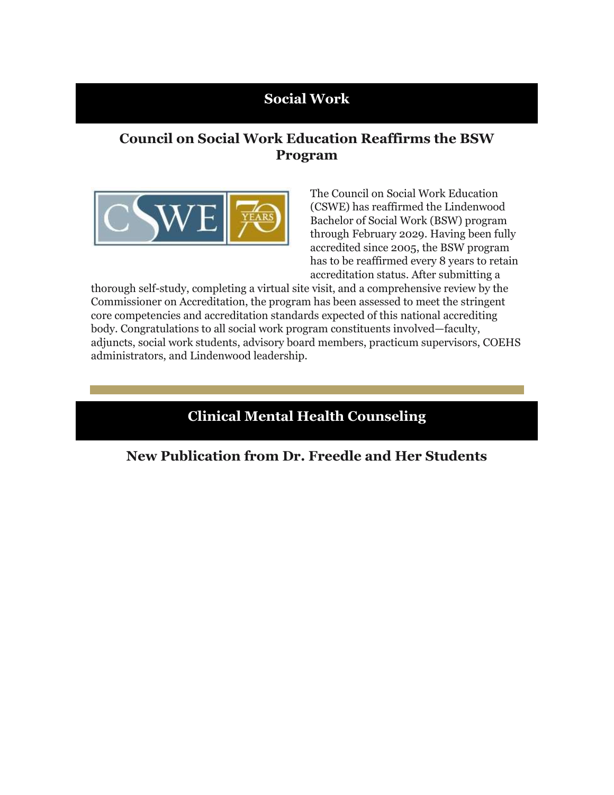## **Social Work**

## **Council on Social Work Education Reaffirms the BSW Program**

![](_page_27_Picture_2.jpeg)

The Council on Social Work Education (CSWE) has reaffirmed the Lindenwood Bachelor of Social Work (BSW) program through February 2029. Having been fully accredited since 2005, the BSW program has to be reaffirmed every 8 years to retain accreditation status. After submitting a

thorough self-study, completing a virtual site visit, and a comprehensive review by the Commissioner on Accreditation, the program has been assessed to meet the stringent core competencies and accreditation standards expected of this national accrediting body. Congratulations to all social work program constituents involved—faculty, adjuncts, social work students, advisory board members, practicum supervisors, COEHS administrators, and Lindenwood leadership.

## **Clinical Mental Health Counseling**

**New Publication from Dr. Freedle and Her Students**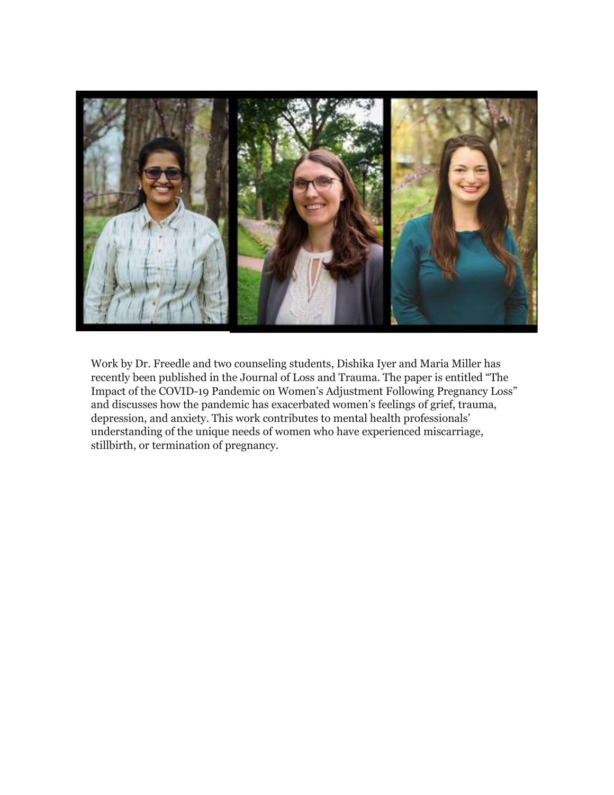![](_page_28_Picture_0.jpeg)

Work by Dr. Freedle and two counseling students, Dishika Iyer and Maria Miller has recently been published in the Journal of Loss and Trauma. The paper is entitled "The Impact of the COVID-19 Pandemic on Women's Adjustment Following Pregnancy Loss" and discusses how the pandemic has exacerbated women's feelings of grief, trauma, depression, and anxiety. This work contributes to mental health professionals' understanding of the unique needs of women who have experienced miscarriage, stillbirth, or termination of pregnancy.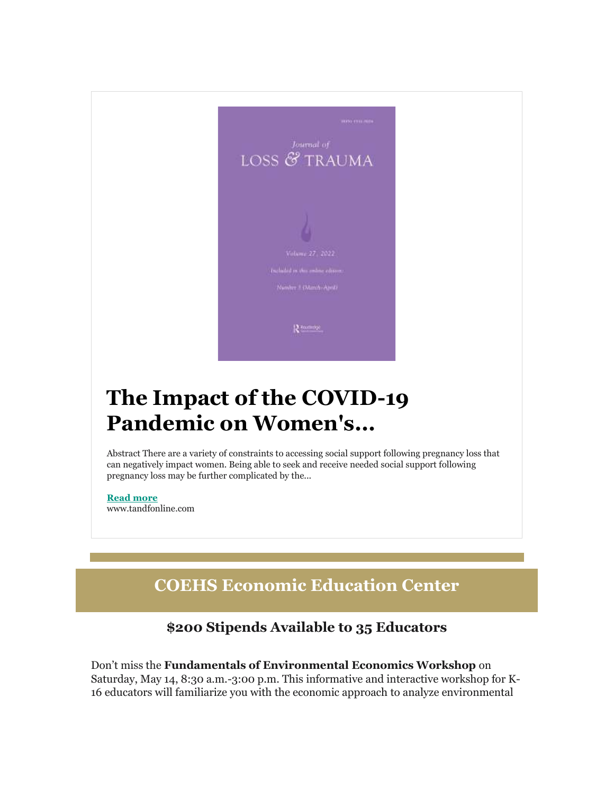![](_page_29_Picture_0.jpeg)

## **The Impact of the COVID-19 Pandemic on Women's...**

Abstract There are a variety of constraints to accessing social support following pregnancy loss that can negatively impact women. Being able to seek and receive needed social support following pregnancy loss may be further complicated by the...

**[Read more](https://nam04.safelinks.protection.outlook.com/?url=https%3A%2F%2Fr20.rs6.net%2Ftn.jsp%3Ff%3D001nmgsxHl_9cKfmMKPxKnJkRpIAU5akRah6Q2sXzOobZNJ3KxweKHhpnRxW66fyHwgS1nZN_ao5i_wYr_kLXBFaBmLi6LKkmsFSQhdt4RZYVNkfkzGuNTh4ndiy1Dkxz4NInGHYSlEOzZeb1REaoeAK6cSuXzCv9t3V0d_Ia1IQa1n7RT11zrR2Y8XweVjgVJ4mqyv6SlfPsXugw5kS7TgPA%3D%3D%26c%3D6H_LL2UQnuSoAuNxe3OyfJzeA8bD1EDQAdyyxRt0eAko71iLousH8A%3D%3D%26ch%3DQcSa5L0ZoOLObwfP2xcmNvgdWcp8LkO3e81FGGTLf0kElWX8DabhQg%3D%3D&data=04%7C01%7Cphuffman%40lindenwood.edu%7C09c3b0849bb641a6b83e08da13f90749%7C3d72f08e540a4c68905d9e69c4d9c61e%7C1%7C0%7C637844257556976928%7CUnknown%7CTWFpbGZsb3d8eyJWIjoiMC4wLjAwMDAiLCJQIjoiV2luMzIiLCJBTiI6Ik1haWwiLCJXVCI6Mn0%3D%7C3000&sdata=daJ4amIvLYULN9U2F8w%2BeT%2Fqarg3gzemLOH0hnkkJ%2BE%3D&reserved=0)** www.tandfonline.com

## **COEHS Economic Education Center**

## **\$200 Stipends Available to 35 Educators**

Don't miss the **Fundamentals of Environmental Economics Workshop** on Saturday, May 14, 8:30 a.m.-3:00 p.m. This informative and interactive workshop for K-16 educators will familiarize you with the economic approach to analyze environmental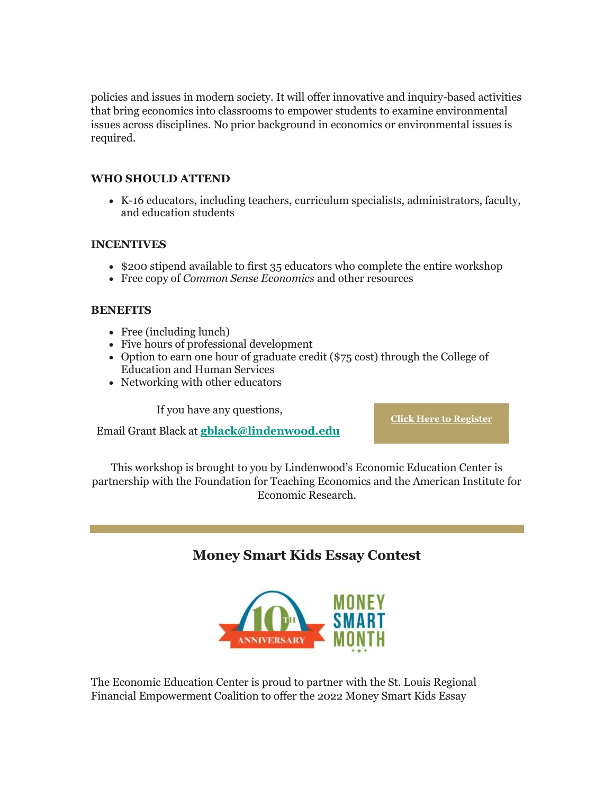policies and issues in modern society. It will offer innovative and inquiry-based activities that bring economics into classrooms to empower students to examine environmental issues across disciplines. No prior background in economics or environmental issues is required.

#### **WHO SHOULD ATTEND**

 K-16 educators, including teachers, curriculum specialists, administrators, faculty, and education students

#### **INCENTIVES**

- \$200 stipend available to first 35 educators who complete the entire workshop
- Free copy of *Common Sense Economics* and other resources

#### **BENEFITS**

- Free (including lunch)
- Five hours of professional development
- $\bullet$  Option to earn one hour of graduate credit (\$75 cost) through the College of Education and Human Services
- Networking with other educators

If you have any questions,

Email Grant Black at **[gblack@lindenwood.edu](mailto:gblack@lindenwood.edu)**

**[Click Here to Register](https://nam04.safelinks.protection.outlook.com/?url=https%3A%2F%2Fr20.rs6.net%2Ftn.jsp%3Ff%3D001nmgsxHl_9cKfmMKPxKnJkRpIAU5akRah6Q2sXzOobZNJ3KxweKHhpnRxW66fyHwgMYEEk68Mp2ip9ZLK5aCCT-5f7R5vrU0uxiFxHyG6n2VbbpGf2OuGismZ-edHXjC5HvRcUrLWDh01G-5CwVitgg%3D%3D%26c%3D6H_LL2UQnuSoAuNxe3OyfJzeA8bD1EDQAdyyxRt0eAko71iLousH8A%3D%3D%26ch%3DQcSa5L0ZoOLObwfP2xcmNvgdWcp8LkO3e81FGGTLf0kElWX8DabhQg%3D%3D&data=04%7C01%7Cphuffman%40lindenwood.edu%7C09c3b0849bb641a6b83e08da13f90749%7C3d72f08e540a4c68905d9e69c4d9c61e%7C1%7C0%7C637844257556976928%7CUnknown%7CTWFpbGZsb3d8eyJWIjoiMC4wLjAwMDAiLCJQIjoiV2luMzIiLCJBTiI6Ik1haWwiLCJXVCI6Mn0%3D%7C3000&sdata=bJpkPTF0T9%2BFYKE5N%2BdJF5I4rVjQwqOsAPHcI1HWHCU%3D&reserved=0)**

This workshop is brought to you by Lindenwood's Economic Education Center is partnership with the Foundation for Teaching Economics and the American Institute for Economic Research.

#### **Money Smart Kids Essay Contest**

![](_page_30_Picture_16.jpeg)

The Economic Education Center is proud to partner with the St. Louis Regional Financial Empowerment Coalition to offer the 2022 Money Smart Kids Essay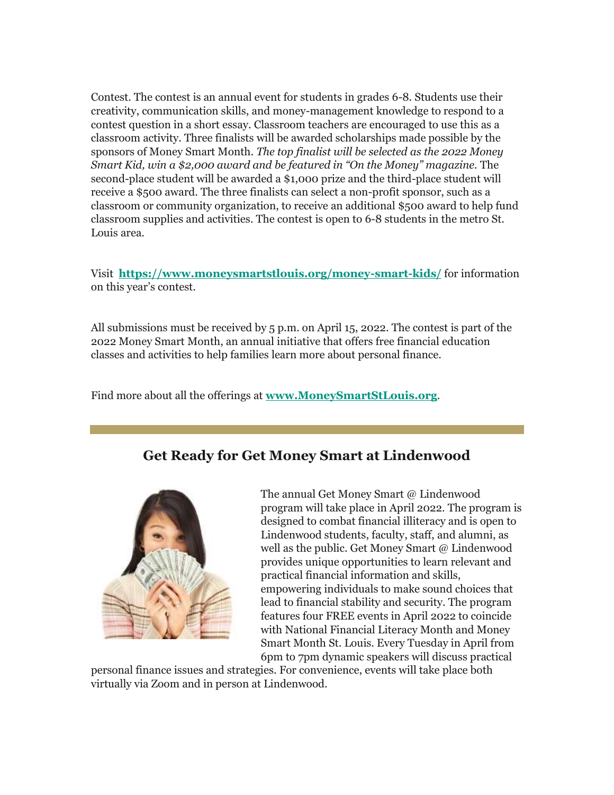Contest. The contest is an annual event for students in grades 6-8. Students use their creativity, communication skills, and money-management knowledge to respond to a contest question in a short essay. Classroom teachers are encouraged to use this as a classroom activity. Three finalists will be awarded scholarships made possible by the sponsors of Money Smart Month. *The top finalist will be selected as the 2022 Money Smart Kid, win a \$2,000 award and be featured in "On the Money" magazine.* The second-place student will be awarded a \$1,000 prize and the third-place student will receive a \$500 award. The three finalists can select a non-profit sponsor, such as a classroom or community organization, to receive an additional \$500 award to help fund classroom supplies and activities. The contest is open to 6-8 students in the metro St. Louis area.

Visit **[https://www.moneysmartstlouis.org/money-smart-kids/](https://nam04.safelinks.protection.outlook.com/?url=https%3A%2F%2Fr20.rs6.net%2Ftn.jsp%3Ff%3D001nmgsxHl_9cKfmMKPxKnJkRpIAU5akRah6Q2sXzOobZNJ3KxweKHhpqqB15decQwe5_jHiW7jjNUpdOl6VtM7_5FrTwCIbjuJVnkqPF5ksu7T2MhnwldLJha6HI77AZ_4CGt_nMBPScmZfwQUBo0dEW6EqsfTiKnYoXhWThCCSBJfGUoI-Ncxew%3D%3D%26c%3D6H_LL2UQnuSoAuNxe3OyfJzeA8bD1EDQAdyyxRt0eAko71iLousH8A%3D%3D%26ch%3DQcSa5L0ZoOLObwfP2xcmNvgdWcp8LkO3e81FGGTLf0kElWX8DabhQg%3D%3D&data=04%7C01%7Cphuffman%40lindenwood.edu%7C09c3b0849bb641a6b83e08da13f90749%7C3d72f08e540a4c68905d9e69c4d9c61e%7C1%7C0%7C637844257556976928%7CUnknown%7CTWFpbGZsb3d8eyJWIjoiMC4wLjAwMDAiLCJQIjoiV2luMzIiLCJBTiI6Ik1haWwiLCJXVCI6Mn0%3D%7C3000&sdata=XMxWnCYKgC0DPqDUthNvBUvr%2By3K6gId70kTvlSKNaw%3D&reserved=0)** for information on this year's contest.

All submissions must be received by 5 p.m. on April 15, 2022. The contest is part of the 2022 Money Smart Month, an annual initiative that offers free financial education classes and activities to help families learn more about personal finance.

Find more about all the offerings at **[www.MoneySmartStLouis.org](https://nam04.safelinks.protection.outlook.com/?url=https%3A%2F%2Fr20.rs6.net%2Ftn.jsp%3Ff%3D001nmgsxHl_9cKfmMKPxKnJkRpIAU5akRah6Q2sXzOobZNJ3KxweKHhpqqB15decQweAVaxrxuYgGFY7iFF-uB-cptpuXkEeXt-D3vlkWMh477ExFXTvLC6UNEgI_8z019-9K4npgt3GqQcdIpuEBZ7LnlhvgmJjoub%26c%3D6H_LL2UQnuSoAuNxe3OyfJzeA8bD1EDQAdyyxRt0eAko71iLousH8A%3D%3D%26ch%3DQcSa5L0ZoOLObwfP2xcmNvgdWcp8LkO3e81FGGTLf0kElWX8DabhQg%3D%3D&data=04%7C01%7Cphuffman%40lindenwood.edu%7C09c3b0849bb641a6b83e08da13f90749%7C3d72f08e540a4c68905d9e69c4d9c61e%7C1%7C0%7C637844257556976928%7CUnknown%7CTWFpbGZsb3d8eyJWIjoiMC4wLjAwMDAiLCJQIjoiV2luMzIiLCJBTiI6Ik1haWwiLCJXVCI6Mn0%3D%7C3000&sdata=HeMoOo7avozUdCcS9lZk3YziFQg2mMQLvaYGoJYI0kA%3D&reserved=0)**.

## **Get Ready for Get Money Smart at Lindenwood**

![](_page_31_Picture_5.jpeg)

The annual Get Money Smart @ Lindenwood program will take place in April 2022. The program is designed to combat financial illiteracy and is open to Lindenwood students, faculty, staff, and alumni, as well as the public. Get Money Smart @ Lindenwood provides unique opportunities to learn relevant and practical financial information and skills, empowering individuals to make sound choices that lead to financial stability and security. The program features four FREE events in April 2022 to coincide with National Financial Literacy Month and Money Smart Month St. Louis. Every Tuesday in April from 6pm to 7pm dynamic speakers will discuss practical

personal finance issues and strategies. For convenience, events will take place both virtually via Zoom and in person at Lindenwood.